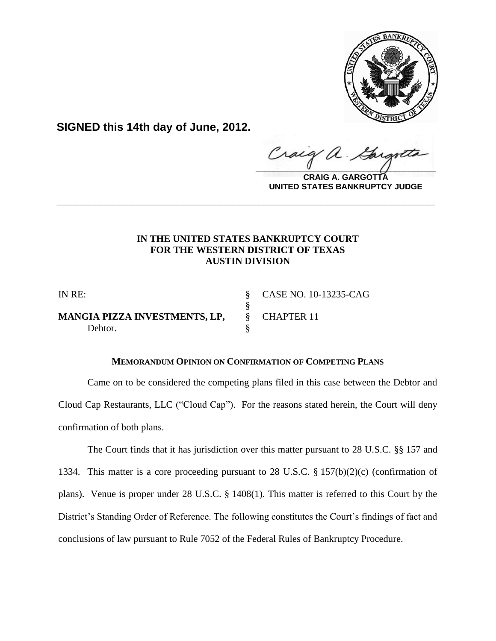

**SIGNED this 14th day of June, 2012.**

Craig  $\frac{1}{2}$ 

**CRAIG A. GARGOTTA UNITED STATES BANKRUPTCY JUDGE**

# **IN THE UNITED STATES BANKRUPTCY COURT FOR THE WESTERN DISTRICT OF TEXAS AUSTIN DIVISION**

**\_\_\_\_\_\_\_\_\_\_\_\_\_\_\_\_\_\_\_\_\_\_\_\_\_\_\_\_\_\_\_\_\_\_\_\_\_\_\_\_\_\_\_\_\_\_\_\_\_\_\_\_\_\_\_\_\_\_\_\_**

**MANGIA PIZZA INVESTMENTS, LP,** § CHAPTER 11 Debtor.

IN RE: § CASE NO. 10-13235-CAG

# **MEMORANDUM OPINION ON CONFIRMATION OF COMPETING PLANS**

§<br>§

Came on to be considered the competing plans filed in this case between the Debtor and Cloud Cap Restaurants, LLC ("Cloud Cap"). For the reasons stated herein, the Court will deny confirmation of both plans.

The Court finds that it has jurisdiction over this matter pursuant to 28 U.S.C. §§ 157 and 1334. This matter is a core proceeding pursuant to 28 U.S.C. § 157(b)(2)(c) (confirmation of plans). Venue is proper under 28 U.S.C. § 1408(1). This matter is referred to this Court by the District's Standing Order of Reference. The following constitutes the Court's findings of fact and conclusions of law pursuant to Rule 7052 of the Federal Rules of Bankruptcy Procedure.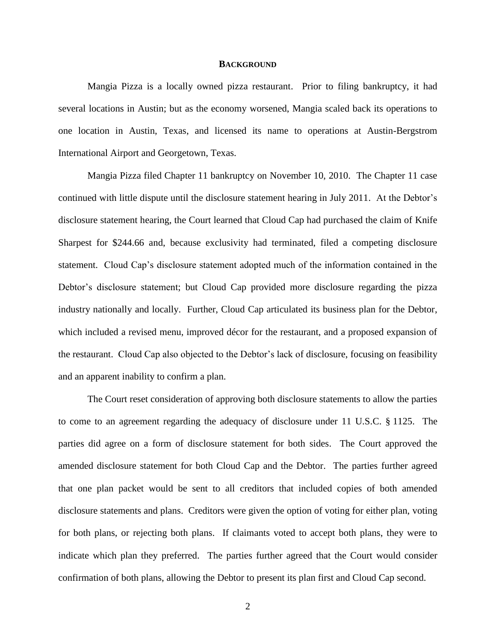#### **BACKGROUND**

Mangia Pizza is a locally owned pizza restaurant. Prior to filing bankruptcy, it had several locations in Austin; but as the economy worsened, Mangia scaled back its operations to one location in Austin, Texas, and licensed its name to operations at Austin-Bergstrom International Airport and Georgetown, Texas.

Mangia Pizza filed Chapter 11 bankruptcy on November 10, 2010. The Chapter 11 case continued with little dispute until the disclosure statement hearing in July 2011. At the Debtor's disclosure statement hearing, the Court learned that Cloud Cap had purchased the claim of Knife Sharpest for \$244.66 and, because exclusivity had terminated, filed a competing disclosure statement. Cloud Cap's disclosure statement adopted much of the information contained in the Debtor's disclosure statement; but Cloud Cap provided more disclosure regarding the pizza industry nationally and locally. Further, Cloud Cap articulated its business plan for the Debtor, which included a revised menu, improved décor for the restaurant, and a proposed expansion of the restaurant. Cloud Cap also objected to the Debtor's lack of disclosure, focusing on feasibility and an apparent inability to confirm a plan.

The Court reset consideration of approving both disclosure statements to allow the parties to come to an agreement regarding the adequacy of disclosure under 11 U.S.C. § 1125. The parties did agree on a form of disclosure statement for both sides. The Court approved the amended disclosure statement for both Cloud Cap and the Debtor. The parties further agreed that one plan packet would be sent to all creditors that included copies of both amended disclosure statements and plans. Creditors were given the option of voting for either plan, voting for both plans, or rejecting both plans. If claimants voted to accept both plans, they were to indicate which plan they preferred. The parties further agreed that the Court would consider confirmation of both plans, allowing the Debtor to present its plan first and Cloud Cap second.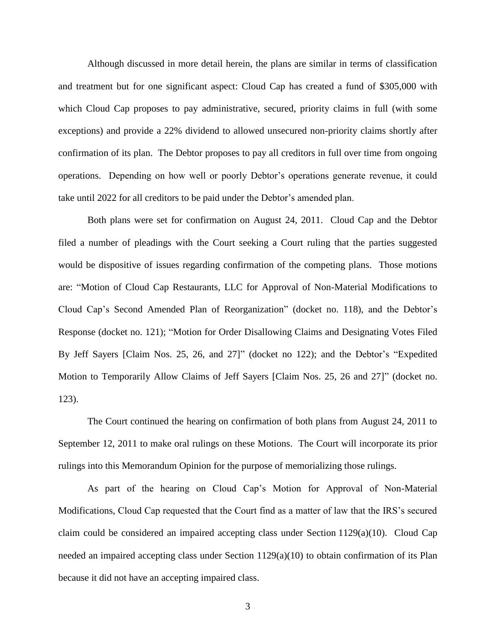Although discussed in more detail herein, the plans are similar in terms of classification and treatment but for one significant aspect: Cloud Cap has created a fund of \$305,000 with which Cloud Cap proposes to pay administrative, secured, priority claims in full (with some exceptions) and provide a 22% dividend to allowed unsecured non-priority claims shortly after confirmation of its plan. The Debtor proposes to pay all creditors in full over time from ongoing operations. Depending on how well or poorly Debtor's operations generate revenue, it could take until 2022 for all creditors to be paid under the Debtor's amended plan.

Both plans were set for confirmation on August 24, 2011. Cloud Cap and the Debtor filed a number of pleadings with the Court seeking a Court ruling that the parties suggested would be dispositive of issues regarding confirmation of the competing plans. Those motions are: "Motion of Cloud Cap Restaurants, LLC for Approval of Non-Material Modifications to Cloud Cap's Second Amended Plan of Reorganization" (docket no. 118), and the Debtor's Response (docket no. 121); "Motion for Order Disallowing Claims and Designating Votes Filed By Jeff Sayers [Claim Nos. 25, 26, and 27]" (docket no 122); and the Debtor's "Expedited Motion to Temporarily Allow Claims of Jeff Sayers [Claim Nos. 25, 26 and 27]" (docket no. 123).

The Court continued the hearing on confirmation of both plans from August 24, 2011 to September 12, 2011 to make oral rulings on these Motions. The Court will incorporate its prior rulings into this Memorandum Opinion for the purpose of memorializing those rulings.

As part of the hearing on Cloud Cap's Motion for Approval of Non-Material Modifications, Cloud Cap requested that the Court find as a matter of law that the IRS's secured claim could be considered an impaired accepting class under Section 1129(a)(10). Cloud Cap needed an impaired accepting class under Section  $1129(a)(10)$  to obtain confirmation of its Plan because it did not have an accepting impaired class.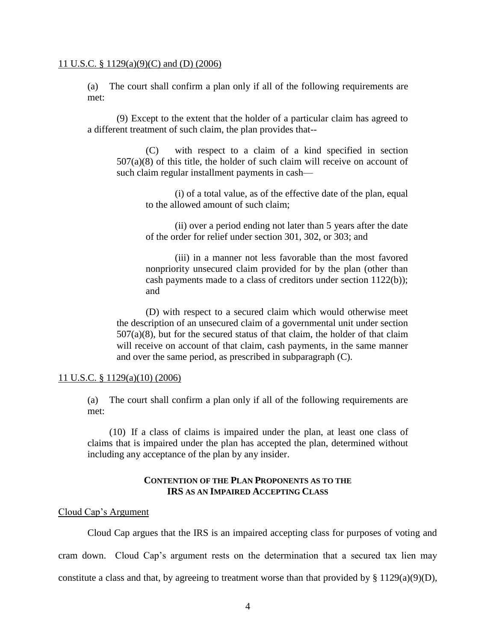### 11 U.S.C. § 1129(a)(9)(C) and (D) (2006)

(a) The court shall confirm a plan only if all of the following requirements are met:

(9) Except to the extent that the holder of a particular claim has agreed to a different treatment of such claim, the plan provides that--

(C) with respect to a claim of a kind specified in section  $507(a)(8)$  of this title, the holder of such claim will receive on account of such claim regular installment payments in cash—

> (i) of a total value, as of the effective date of the plan, equal to the allowed amount of such claim;

> (ii) over a period ending not later than 5 years after the date of the order for relief under section 301, 302, or 303; and

> (iii) in a manner not less favorable than the most favored nonpriority unsecured claim provided for by the plan (other than cash payments made to a class of creditors under section 1122(b)); and

(D) with respect to a secured claim which would otherwise meet the description of an unsecured claim of a governmental unit under section  $507(a)(8)$ , but for the secured status of that claim, the holder of that claim will receive on account of that claim, cash payments, in the same manner and over the same period, as prescribed in subparagraph (C).

### 11 U.S.C. § 1129(a)(10) (2006)

(a) The court shall confirm a plan only if all of the following requirements are met:

(10) If a class of claims is impaired under the plan, at least one class of claims that is impaired under the plan has accepted the plan, determined without including any acceptance of the plan by any insider.

# **CONTENTION OF THE PLAN PROPONENTS AS TO THE IRS AS AN IMPAIRED ACCEPTING CLASS**

### Cloud Cap's Argument

Cloud Cap argues that the IRS is an impaired accepting class for purposes of voting and cram down. Cloud Cap's argument rests on the determination that a secured tax lien may constitute a class and that, by agreeing to treatment worse than that provided by  $\S 1129(a)(9)(D)$ ,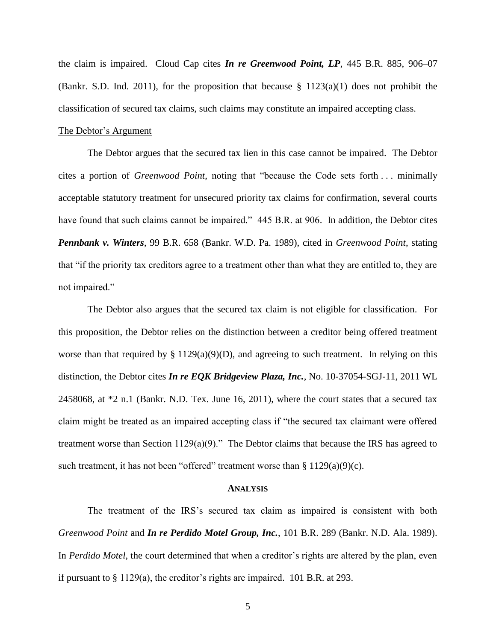the claim is impaired. Cloud Cap cites *In re Greenwood Point, LP*, 445 B.R. 885, 906–07 (Bankr. S.D. Ind. 2011), for the proposition that because  $\S$  1123(a)(1) does not prohibit the classification of secured tax claims, such claims may constitute an impaired accepting class.

### The Debtor's Argument

The Debtor argues that the secured tax lien in this case cannot be impaired. The Debtor cites a portion of *Greenwood Point*, noting that "because the Code sets forth . . . minimally acceptable statutory treatment for unsecured priority tax claims for confirmation, several courts have found that such claims cannot be impaired." 445 B.R. at 906. In addition, the Debtor cites *Pennbank v. Winters*, 99 B.R. 658 (Bankr. W.D. Pa. 1989), cited in *Greenwood Point*, stating that "if the priority tax creditors agree to a treatment other than what they are entitled to, they are not impaired."

The Debtor also argues that the secured tax claim is not eligible for classification. For this proposition, the Debtor relies on the distinction between a creditor being offered treatment worse than that required by  $\S 1129(a)(9)(D)$ , and agreeing to such treatment. In relying on this distinction, the Debtor cites *In re EQK Bridgeview Plaza, Inc.*, No. 10-37054-SGJ-11, 2011 WL 2458068, at \*2 n.1 (Bankr. N.D. Tex. June 16, 2011), where the court states that a secured tax claim might be treated as an impaired accepting class if "the secured tax claimant were offered treatment worse than Section 1129(a)(9)." The Debtor claims that because the IRS has agreed to such treatment, it has not been "offered" treatment worse than § 1129(a)(9)(c).

#### **ANALYSIS**

The treatment of the IRS's secured tax claim as impaired is consistent with both *Greenwood Point* and *In re Perdido Motel Group, Inc.*, 101 B.R. 289 (Bankr. N.D. Ala. 1989). In *Perdido Motel*, the court determined that when a creditor's rights are altered by the plan, even if pursuant to § 1129(a), the creditor's rights are impaired. 101 B.R. at 293.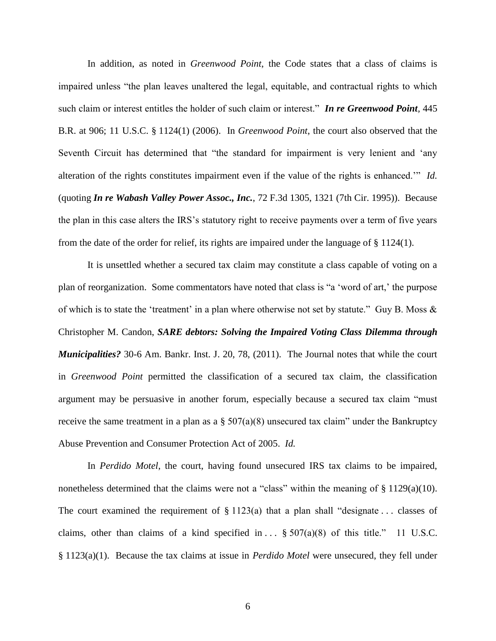In addition, as noted in *Greenwood Point*, the Code states that a class of claims is impaired unless "the plan leaves unaltered the legal, equitable, and contractual rights to which such claim or interest entitles the holder of such claim or interest." *In re Greenwood Point,* 445 B.R. at 906; 11 U.S.C. § 1124(1) (2006). In *Greenwood Point*, the court also observed that the Seventh Circuit has determined that "the standard for impairment is very lenient and 'any alteration of the rights constitutes impairment even if the value of the rights is enhanced.'" *Id.* (quoting *In re Wabash Valley Power Assoc., Inc.*, 72 F.3d 1305, 1321 (7th Cir. 1995)). Because the plan in this case alters the IRS's statutory right to receive payments over a term of five years from the date of the order for relief, its rights are impaired under the language of § 1124(1).

It is unsettled whether a secured tax claim may constitute a class capable of voting on a plan of reorganization. Some commentators have noted that class is "a 'word of art,' the purpose of which is to state the 'treatment' in a plan where otherwise not set by statute." Guy B. Moss & Christopher M. Candon, *SARE debtors: Solving the Impaired Voting Class Dilemma through Municipalities?* 30-6 Am. Bankr. Inst. J. 20, 78, (2011). The Journal notes that while the court in *Greenwood Point* permitted the classification of a secured tax claim, the classification argument may be persuasive in another forum, especially because a secured tax claim "must receive the same treatment in a plan as a  $\S 507(a)(8)$  unsecured tax claim" under the Bankruptcy Abuse Prevention and Consumer Protection Act of 2005. *Id.*

In *Perdido Motel*, the court, having found unsecured IRS tax claims to be impaired, nonetheless determined that the claims were not a "class" within the meaning of § 1129(a)(10). The court examined the requirement of  $\S 1123(a)$  that a plan shall "designate ... classes of claims, other than claims of a kind specified in  $\ldots$  § 507(a)(8) of this title." 11 U.S.C. § 1123(a)(1). Because the tax claims at issue in *Perdido Motel* were unsecured, they fell under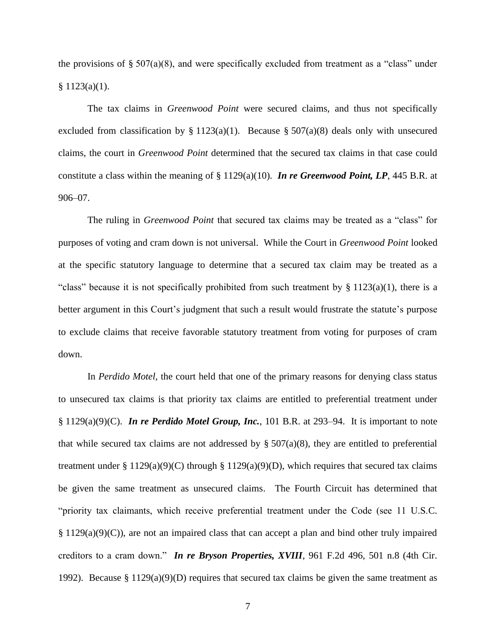the provisions of  $\S 507(a)(8)$ , and were specifically excluded from treatment as a "class" under  $§ 1123(a)(1).$ 

The tax claims in *Greenwood Point* were secured claims, and thus not specifically excluded from classification by § 1123(a)(1). Because § 507(a)(8) deals only with unsecured claims, the court in *Greenwood Point* determined that the secured tax claims in that case could constitute a class within the meaning of § 1129(a)(10). *In re Greenwood Point, LP*, 445 B.R. at 906–07.

The ruling in *Greenwood Point* that secured tax claims may be treated as a "class" for purposes of voting and cram down is not universal. While the Court in *Greenwood Point* looked at the specific statutory language to determine that a secured tax claim may be treated as a "class" because it is not specifically prohibited from such treatment by  $\S 1123(a)(1)$ , there is a better argument in this Court's judgment that such a result would frustrate the statute's purpose to exclude claims that receive favorable statutory treatment from voting for purposes of cram down.

In *Perdido Motel*, the court held that one of the primary reasons for denying class status to unsecured tax claims is that priority tax claims are entitled to preferential treatment under § 1129(a)(9)(C). *In re Perdido Motel Group, Inc.*, 101 B.R. at 293–94. It is important to note that while secured tax claims are not addressed by  $\S 507(a)(8)$ , they are entitled to preferential treatment under § 1129(a)(9)(C) through § 1129(a)(9)(D), which requires that secured tax claims be given the same treatment as unsecured claims. The Fourth Circuit has determined that "priority tax claimants, which receive preferential treatment under the Code (see 11 U.S.C. § 1129(a)(9)(C)), are not an impaired class that can accept a plan and bind other truly impaired creditors to a cram down." *In re Bryson Properties, XVIII*, 961 F.2d 496, 501 n.8 (4th Cir. 1992). Because § 1129(a)(9)(D) requires that secured tax claims be given the same treatment as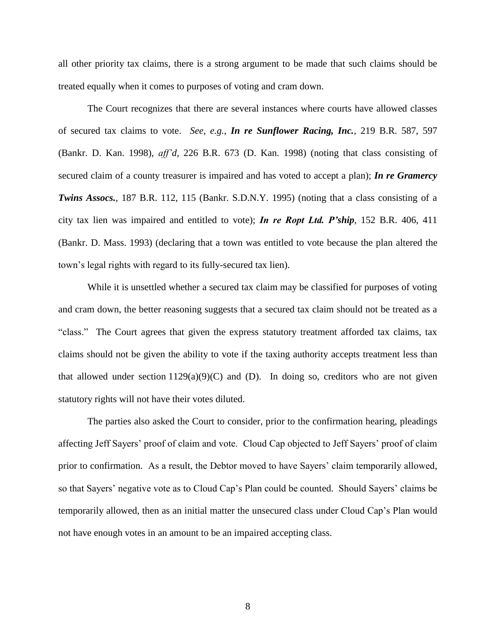all other priority tax claims, there is a strong argument to be made that such claims should be treated equally when it comes to purposes of voting and cram down.

The Court recognizes that there are several instances where courts have allowed classes of secured tax claims to vote. *See, e.g.*, *In re Sunflower Racing, Inc.*, 219 B.R. 587, 597 (Bankr. D. Kan. 1998), *aff'd*, 226 B.R. 673 (D. Kan. 1998) (noting that class consisting of secured claim of a county treasurer is impaired and has voted to accept a plan); *In re Gramercy Twins Assocs.*, 187 B.R. 112, 115 (Bankr. S.D.N.Y. 1995) (noting that a class consisting of a city tax lien was impaired and entitled to vote); *In re Ropt Ltd. P'ship*, 152 B.R. 406, 411 (Bankr. D. Mass. 1993) (declaring that a town was entitled to vote because the plan altered the town's legal rights with regard to its fully-secured tax lien).

While it is unsettled whether a secured tax claim may be classified for purposes of voting and cram down, the better reasoning suggests that a secured tax claim should not be treated as a "class." The Court agrees that given the express statutory treatment afforded tax claims, tax claims should not be given the ability to vote if the taxing authority accepts treatment less than that allowed under section  $1129(a)(9)(C)$  and (D). In doing so, creditors who are not given statutory rights will not have their votes diluted.

The parties also asked the Court to consider, prior to the confirmation hearing, pleadings affecting Jeff Sayers' proof of claim and vote. Cloud Cap objected to Jeff Sayers' proof of claim prior to confirmation. As a result, the Debtor moved to have Sayers' claim temporarily allowed, so that Sayers' negative vote as to Cloud Cap's Plan could be counted. Should Sayers' claims be temporarily allowed, then as an initial matter the unsecured class under Cloud Cap's Plan would not have enough votes in an amount to be an impaired accepting class.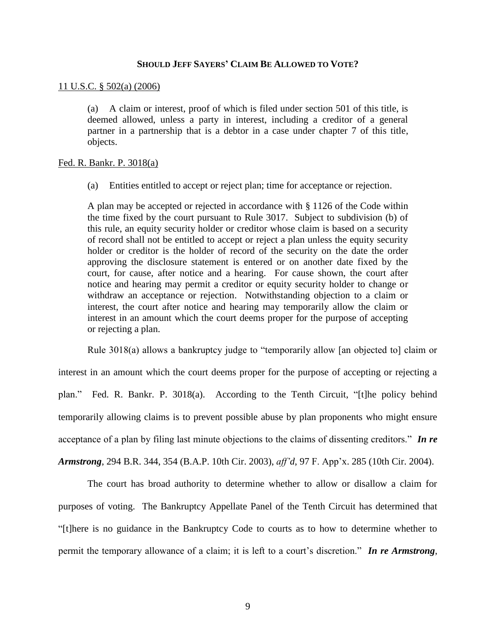### **SHOULD JEFF SAYERS' CLAIM BE ALLOWED TO VOTE?**

### 11 U.S.C. § 502(a) (2006)

(a) A claim or interest, proof of which is filed under section 501 of this title, is deemed allowed, unless a party in interest, including a creditor of a general partner in a partnership that is a debtor in a case under chapter 7 of this title, objects.

## Fed. R. Bankr. P. 3018(a)

(a) Entities entitled to accept or reject plan; time for acceptance or rejection.

A plan may be accepted or rejected in accordance with § 1126 of the Code within the time fixed by the court pursuant to Rule 3017. Subject to subdivision (b) of this rule, an equity security holder or creditor whose claim is based on a security of record shall not be entitled to accept or reject a plan unless the equity security holder or creditor is the holder of record of the security on the date the order approving the disclosure statement is entered or on another date fixed by the court, for cause, after notice and a hearing. For cause shown, the court after notice and hearing may permit a creditor or equity security holder to change or withdraw an acceptance or rejection. Notwithstanding objection to a claim or interest, the court after notice and hearing may temporarily allow the claim or interest in an amount which the court deems proper for the purpose of accepting or rejecting a plan.

Rule 3018(a) allows a bankruptcy judge to "temporarily allow [an objected to] claim or interest in an amount which the court deems proper for the purpose of accepting or rejecting a plan." Fed. R. Bankr. P. 3018(a). According to the Tenth Circuit, "[t]he policy behind temporarily allowing claims is to prevent possible abuse by plan proponents who might ensure acceptance of a plan by filing last minute objections to the claims of dissenting creditors." *In re Armstrong*, 294 B.R. 344, 354 (B.A.P. 10th Cir. 2003), *aff'd*, 97 F. App'x. 285 (10th Cir. 2004).

The court has broad authority to determine whether to allow or disallow a claim for purposes of voting. The Bankruptcy Appellate Panel of the Tenth Circuit has determined that "[t]here is no guidance in the Bankruptcy Code to courts as to how to determine whether to permit the temporary allowance of a claim; it is left to a court's discretion." *In re Armstrong*,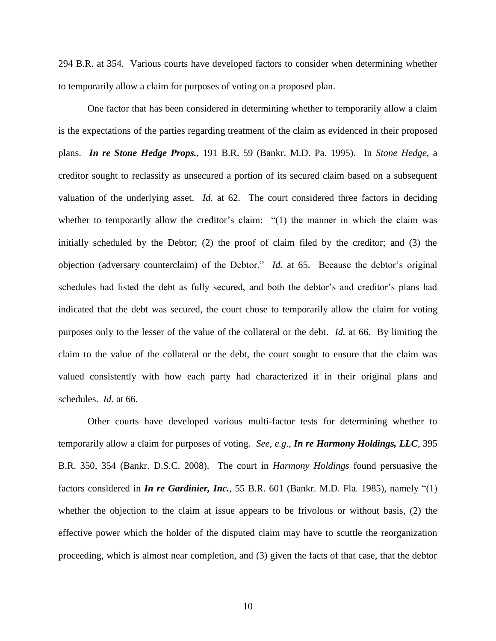294 B.R. at 354. Various courts have developed factors to consider when determining whether to temporarily allow a claim for purposes of voting on a proposed plan.

One factor that has been considered in determining whether to temporarily allow a claim is the expectations of the parties regarding treatment of the claim as evidenced in their proposed plans. *In re Stone Hedge Props.*, 191 B.R. 59 (Bankr. M.D. Pa. 1995). In *Stone Hedge*, a creditor sought to reclassify as unsecured a portion of its secured claim based on a subsequent valuation of the underlying asset. *Id.* at 62. The court considered three factors in deciding whether to temporarily allow the creditor's claim: "(1) the manner in which the claim was initially scheduled by the Debtor; (2) the proof of claim filed by the creditor; and (3) the objection (adversary counterclaim) of the Debtor." *Id.* at 65. Because the debtor's original schedules had listed the debt as fully secured, and both the debtor's and creditor's plans had indicated that the debt was secured, the court chose to temporarily allow the claim for voting purposes only to the lesser of the value of the collateral or the debt. *Id.* at 66. By limiting the claim to the value of the collateral or the debt, the court sought to ensure that the claim was valued consistently with how each party had characterized it in their original plans and schedules. *Id.* at 66.

Other courts have developed various multi-factor tests for determining whether to temporarily allow a claim for purposes of voting. *See, e.g.*, *In re Harmony Holdings, LLC*, 395 B.R. 350, 354 (Bankr. D.S.C. 2008). The court in *Harmony Holdings* found persuasive the factors considered in *In re Gardinier, Inc.*, 55 B.R. 601 (Bankr. M.D. Fla. 1985), namely "(1) whether the objection to the claim at issue appears to be frivolous or without basis, (2) the effective power which the holder of the disputed claim may have to scuttle the reorganization proceeding, which is almost near completion, and (3) given the facts of that case, that the debtor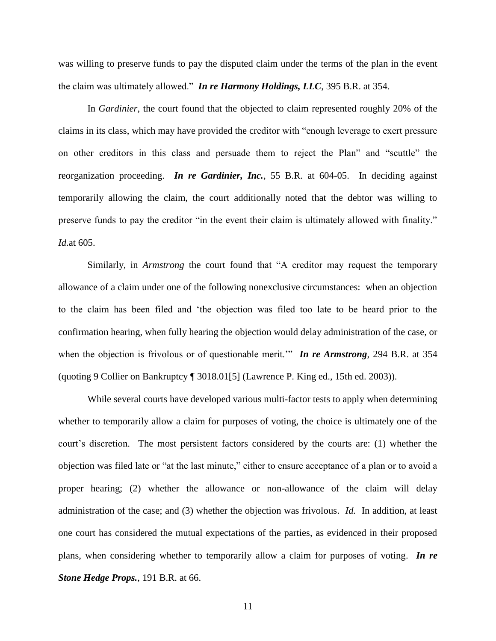was willing to preserve funds to pay the disputed claim under the terms of the plan in the event the claim was ultimately allowed." *In re Harmony Holdings, LLC*, 395 B.R. at 354.

In *Gardinier*, the court found that the objected to claim represented roughly 20% of the claims in its class, which may have provided the creditor with "enough leverage to exert pressure on other creditors in this class and persuade them to reject the Plan" and "scuttle" the reorganization proceeding. *In re Gardinier, Inc.*, 55 B.R. at 604-05. In deciding against temporarily allowing the claim, the court additionally noted that the debtor was willing to preserve funds to pay the creditor "in the event their claim is ultimately allowed with finality." *Id.*at 605.

Similarly, in *Armstrong* the court found that "A creditor may request the temporary allowance of a claim under one of the following nonexclusive circumstances: when an objection to the claim has been filed and 'the objection was filed too late to be heard prior to the confirmation hearing, when fully hearing the objection would delay administration of the case, or when the objection is frivolous or of questionable merit.'" *In re Armstrong*, 294 B.R. at 354 (quoting 9 Collier on Bankruptcy ¶ 3018.01[5] (Lawrence P. King ed., 15th ed. 2003)).

While several courts have developed various multi-factor tests to apply when determining whether to temporarily allow a claim for purposes of voting, the choice is ultimately one of the court's discretion. The most persistent factors considered by the courts are: (1) whether the objection was filed late or "at the last minute," either to ensure acceptance of a plan or to avoid a proper hearing; (2) whether the allowance or non-allowance of the claim will delay administration of the case; and (3) whether the objection was frivolous. *Id.* In addition, at least one court has considered the mutual expectations of the parties, as evidenced in their proposed plans, when considering whether to temporarily allow a claim for purposes of voting. *In re Stone Hedge Props.*, 191 B.R. at 66.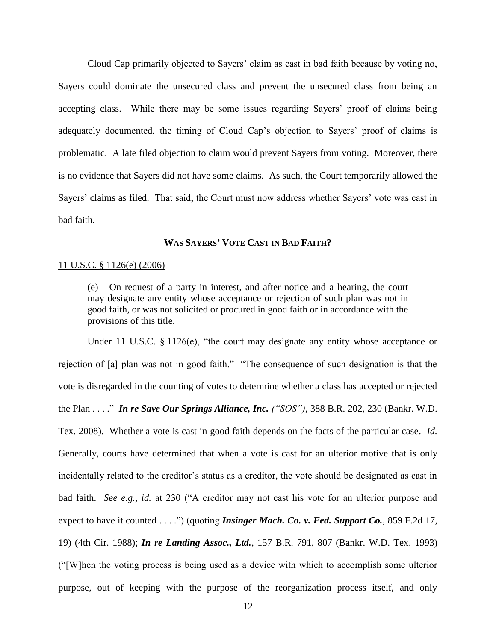Cloud Cap primarily objected to Sayers' claim as cast in bad faith because by voting no, Sayers could dominate the unsecured class and prevent the unsecured class from being an accepting class. While there may be some issues regarding Sayers' proof of claims being adequately documented, the timing of Cloud Cap's objection to Sayers' proof of claims is problematic. A late filed objection to claim would prevent Sayers from voting. Moreover, there is no evidence that Sayers did not have some claims. As such, the Court temporarily allowed the Sayers' claims as filed. That said, the Court must now address whether Sayers' vote was cast in bad faith.

### **WAS SAYERS' VOTE CAST IN BAD FAITH?**

### 11 U.S.C. § 1126(e) (2006)

(e) On request of a party in interest, and after notice and a hearing, the court may designate any entity whose acceptance or rejection of such plan was not in good faith, or was not solicited or procured in good faith or in accordance with the provisions of this title.

Under 11 U.S.C. § 1126(e), "the court may designate any entity whose acceptance or rejection of [a] plan was not in good faith." "The consequence of such designation is that the vote is disregarded in the counting of votes to determine whether a class has accepted or rejected the Plan . . . ." *In re Save Our Springs Alliance, Inc. ("SOS")*, 388 B.R. 202, 230 (Bankr. W.D. Tex. 2008). Whether a vote is cast in good faith depends on the facts of the particular case. *Id.*  Generally, courts have determined that when a vote is cast for an ulterior motive that is only incidentally related to the creditor's status as a creditor, the vote should be designated as cast in bad faith. *See e.g.*, *id.* at 230 ("A creditor may not cast his vote for an ulterior purpose and expect to have it counted . . . .") (quoting *Insinger Mach. Co. v. Fed. Support Co.*, 859 F.2d 17, 19) (4th Cir. 1988); *In re Landing Assoc., Ltd.*, 157 B.R. 791, 807 (Bankr. W.D. Tex. 1993) ("[W]hen the voting process is being used as a device with which to accomplish some ulterior purpose, out of keeping with the purpose of the reorganization process itself, and only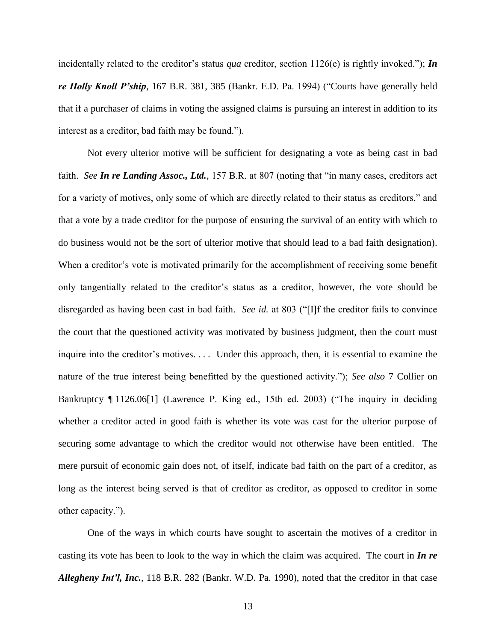incidentally related to the creditor's status *qua* creditor, section  $1126(e)$  is rightly invoked."); *In re Holly Knoll P'ship*, 167 B.R. 381, 385 (Bankr. E.D. Pa. 1994) ("Courts have generally held that if a purchaser of claims in voting the assigned claims is pursuing an interest in addition to its interest as a creditor, bad faith may be found.").

Not every ulterior motive will be sufficient for designating a vote as being cast in bad faith. *See In re Landing Assoc., Ltd.*, 157 B.R. at 807 (noting that "in many cases, creditors act for a variety of motives, only some of which are directly related to their status as creditors," and that a vote by a trade creditor for the purpose of ensuring the survival of an entity with which to do business would not be the sort of ulterior motive that should lead to a bad faith designation). When a creditor's vote is motivated primarily for the accomplishment of receiving some benefit only tangentially related to the creditor's status as a creditor, however, the vote should be disregarded as having been cast in bad faith. *See id.* at 803 ("[I]f the creditor fails to convince the court that the questioned activity was motivated by business judgment, then the court must inquire into the creditor's motives. . . . Under this approach, then, it is essential to examine the nature of the true interest being benefitted by the questioned activity."); *See also* 7 Collier on Bankruptcy ¶ 1126.06[1] (Lawrence P. King ed., 15th ed. 2003) ("The inquiry in deciding whether a creditor acted in good faith is whether its vote was cast for the ulterior purpose of securing some advantage to which the creditor would not otherwise have been entitled. The mere pursuit of economic gain does not, of itself, indicate bad faith on the part of a creditor, as long as the interest being served is that of creditor as creditor, as opposed to creditor in some other capacity.").

One of the ways in which courts have sought to ascertain the motives of a creditor in casting its vote has been to look to the way in which the claim was acquired. The court in *In re Allegheny Int'l, Inc.*, 118 B.R. 282 (Bankr. W.D. Pa. 1990), noted that the creditor in that case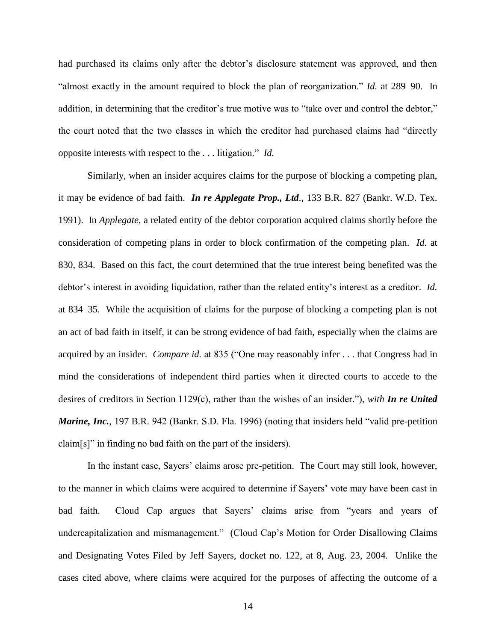had purchased its claims only after the debtor's disclosure statement was approved, and then "almost exactly in the amount required to block the plan of reorganization." *Id.* at 289–90. In addition, in determining that the creditor's true motive was to "take over and control the debtor," the court noted that the two classes in which the creditor had purchased claims had "directly opposite interests with respect to the . . . litigation." *Id.*

Similarly, when an insider acquires claims for the purpose of blocking a competing plan, it may be evidence of bad faith. *In re Applegate Prop., Ltd*., 133 B.R. 827 (Bankr. W.D. Tex. 1991). In *Applegate*, a related entity of the debtor corporation acquired claims shortly before the consideration of competing plans in order to block confirmation of the competing plan. *Id.* at 830, 834. Based on this fact, the court determined that the true interest being benefited was the debtor's interest in avoiding liquidation, rather than the related entity's interest as a creditor. *Id.* at 834–35. While the acquisition of claims for the purpose of blocking a competing plan is not an act of bad faith in itself, it can be strong evidence of bad faith, especially when the claims are acquired by an insider. *Compare id.* at 835 ("One may reasonably infer . . . that Congress had in mind the considerations of independent third parties when it directed courts to accede to the desires of creditors in Section 1129(c), rather than the wishes of an insider."), *with In re United Marine, Inc.*, 197 B.R. 942 (Bankr. S.D. Fla. 1996) (noting that insiders held "valid pre-petition claim[s]" in finding no bad faith on the part of the insiders).

In the instant case, Sayers' claims arose pre-petition. The Court may still look, however, to the manner in which claims were acquired to determine if Sayers' vote may have been cast in bad faith. Cloud Cap argues that Sayers' claims arise from "years and years of undercapitalization and mismanagement." (Cloud Cap's Motion for Order Disallowing Claims and Designating Votes Filed by Jeff Sayers, docket no. 122, at 8, Aug. 23, 2004. Unlike the cases cited above, where claims were acquired for the purposes of affecting the outcome of a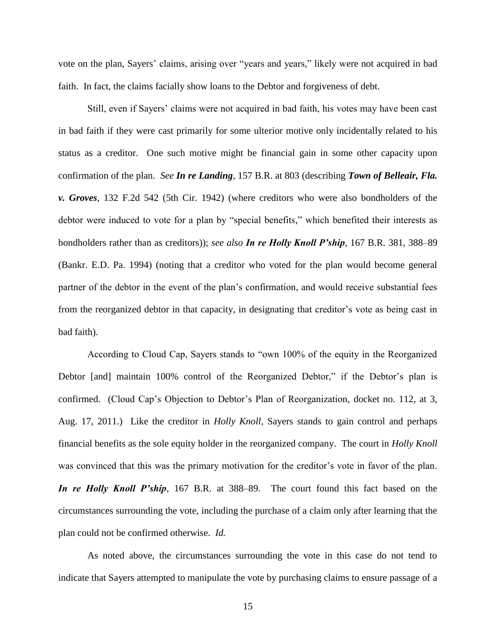vote on the plan, Sayers' claims, arising over "years and years," likely were not acquired in bad faith. In fact, the claims facially show loans to the Debtor and forgiveness of debt.

Still, even if Sayers' claims were not acquired in bad faith, his votes may have been cast in bad faith if they were cast primarily for some ulterior motive only incidentally related to his status as a creditor. One such motive might be financial gain in some other capacity upon confirmation of the plan. *See In re Landing,* 157 B.R. at 803 (describing *Town of Belleair, Fla. v. Groves*, 132 F.2d 542 (5th Cir. 1942) (where creditors who were also bondholders of the debtor were induced to vote for a plan by "special benefits," which benefited their interests as bondholders rather than as creditors)); *see also In re Holly Knoll P'ship*, 167 B.R. 381, 388–89 (Bankr. E.D. Pa. 1994) (noting that a creditor who voted for the plan would become general partner of the debtor in the event of the plan's confirmation, and would receive substantial fees from the reorganized debtor in that capacity, in designating that creditor's vote as being cast in bad faith).

According to Cloud Cap, Sayers stands to "own 100% of the equity in the Reorganized Debtor [and] maintain 100% control of the Reorganized Debtor," if the Debtor's plan is confirmed. (Cloud Cap's Objection to Debtor's Plan of Reorganization, docket no. 112, at 3, Aug. 17, 2011.) Like the creditor in *Holly Knoll*, Sayers stands to gain control and perhaps financial benefits as the sole equity holder in the reorganized company. The court in *Holly Knoll* was convinced that this was the primary motivation for the creditor's vote in favor of the plan. *In re Holly Knoll P'ship,* 167 B.R. at 388–89. The court found this fact based on the circumstances surrounding the vote, including the purchase of a claim only after learning that the plan could not be confirmed otherwise. *Id.*

As noted above, the circumstances surrounding the vote in this case do not tend to indicate that Sayers attempted to manipulate the vote by purchasing claims to ensure passage of a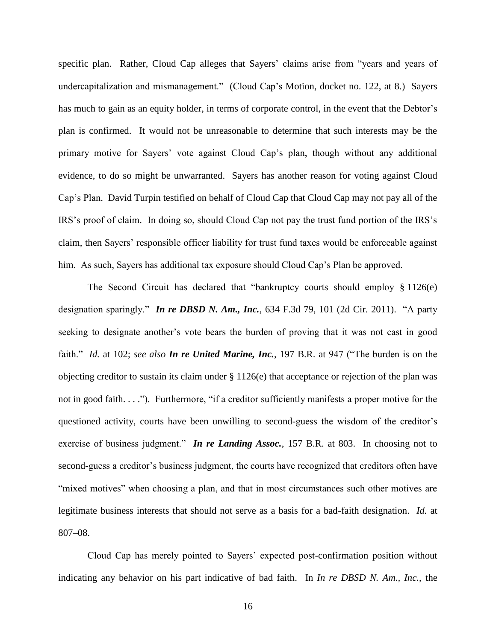specific plan. Rather, Cloud Cap alleges that Sayers' claims arise from "years and years of undercapitalization and mismanagement." (Cloud Cap's Motion, docket no. 122, at 8.) Sayers has much to gain as an equity holder, in terms of corporate control, in the event that the Debtor's plan is confirmed. It would not be unreasonable to determine that such interests may be the primary motive for Sayers' vote against Cloud Cap's plan, though without any additional evidence, to do so might be unwarranted. Sayers has another reason for voting against Cloud Cap's Plan. David Turpin testified on behalf of Cloud Cap that Cloud Cap may not pay all of the IRS's proof of claim. In doing so, should Cloud Cap not pay the trust fund portion of the IRS's claim, then Sayers' responsible officer liability for trust fund taxes would be enforceable against him. As such, Sayers has additional tax exposure should Cloud Cap's Plan be approved.

The Second Circuit has declared that "bankruptcy courts should employ § 1126(e) designation sparingly." *In re DBSD N. Am., Inc.*, 634 F.3d 79, 101 (2d Cir. 2011). "A party seeking to designate another's vote bears the burden of proving that it was not cast in good faith." *Id.* at 102; *see also In re United Marine, Inc.*, 197 B.R. at 947 ("The burden is on the objecting creditor to sustain its claim under § 1126(e) that acceptance or rejection of the plan was not in good faith. . . ."). Furthermore, "if a creditor sufficiently manifests a proper motive for the questioned activity, courts have been unwilling to second-guess the wisdom of the creditor's exercise of business judgment." *In re Landing Assoc.*, 157 B.R. at 803. In choosing not to second-guess a creditor's business judgment, the courts have recognized that creditors often have "mixed motives" when choosing a plan, and that in most circumstances such other motives are legitimate business interests that should not serve as a basis for a bad-faith designation. *Id.* at 807–08.

Cloud Cap has merely pointed to Sayers' expected post-confirmation position without indicating any behavior on his part indicative of bad faith. In *In re DBSD N. Am., Inc.*, the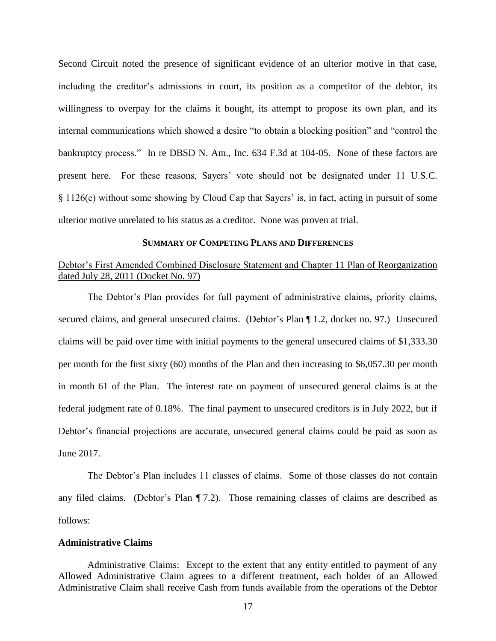Second Circuit noted the presence of significant evidence of an ulterior motive in that case, including the creditor's admissions in court, its position as a competitor of the debtor, its willingness to overpay for the claims it bought, its attempt to propose its own plan, and its internal communications which showed a desire "to obtain a blocking position" and "control the bankruptcy process." In re DBSD N. Am., Inc. 634 F.3d at 104-05.None of these factors are present here. For these reasons, Sayers' vote should not be designated under 11 U.S.C. § 1126(e) without some showing by Cloud Cap that Sayers' is, in fact, acting in pursuit of some ulterior motive unrelated to his status as a creditor. None was proven at trial.

### **SUMMARY OF COMPETING PLANS AND DIFFERENCES**

# Debtor's First Amended Combined Disclosure Statement and Chapter 11 Plan of Reorganization dated July 28, 2011 (Docket No. 97)

The Debtor's Plan provides for full payment of administrative claims, priority claims, secured claims, and general unsecured claims. (Debtor's Plan ¶ 1.2, docket no. 97.) Unsecured claims will be paid over time with initial payments to the general unsecured claims of \$1,333.30 per month for the first sixty (60) months of the Plan and then increasing to \$6,057.30 per month in month 61 of the Plan. The interest rate on payment of unsecured general claims is at the federal judgment rate of 0.18%. The final payment to unsecured creditors is in July 2022, but if Debtor's financial projections are accurate, unsecured general claims could be paid as soon as June 2017.

The Debtor's Plan includes 11 classes of claims. Some of those classes do not contain any filed claims. (Debtor's Plan ¶ 7.2). Those remaining classes of claims are described as follows:

### **Administrative Claims**

Administrative Claims: Except to the extent that any entity entitled to payment of any Allowed Administrative Claim agrees to a different treatment, each holder of an Allowed Administrative Claim shall receive Cash from funds available from the operations of the Debtor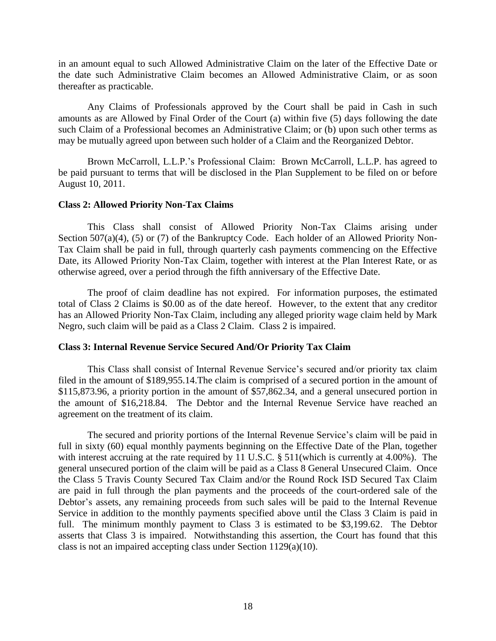in an amount equal to such Allowed Administrative Claim on the later of the Effective Date or the date such Administrative Claim becomes an Allowed Administrative Claim, or as soon thereafter as practicable.

Any Claims of Professionals approved by the Court shall be paid in Cash in such amounts as are Allowed by Final Order of the Court (a) within five (5) days following the date such Claim of a Professional becomes an Administrative Claim; or (b) upon such other terms as may be mutually agreed upon between such holder of a Claim and the Reorganized Debtor.

Brown McCarroll, L.L.P.'s Professional Claim: Brown McCarroll, L.L.P. has agreed to be paid pursuant to terms that will be disclosed in the Plan Supplement to be filed on or before August 10, 2011.

## **Class 2: Allowed Priority Non-Tax Claims**

This Class shall consist of Allowed Priority Non-Tax Claims arising under Section 507(a)(4), (5) or (7) of the Bankruptcy Code. Each holder of an Allowed Priority Non-Tax Claim shall be paid in full, through quarterly cash payments commencing on the Effective Date, its Allowed Priority Non-Tax Claim, together with interest at the Plan Interest Rate, or as otherwise agreed, over a period through the fifth anniversary of the Effective Date.

The proof of claim deadline has not expired. For information purposes, the estimated total of Class 2 Claims is \$0.00 as of the date hereof. However, to the extent that any creditor has an Allowed Priority Non-Tax Claim, including any alleged priority wage claim held by Mark Negro, such claim will be paid as a Class 2 Claim. Class 2 is impaired.

# **Class 3: Internal Revenue Service Secured And/Or Priority Tax Claim**

This Class shall consist of Internal Revenue Service's secured and/or priority tax claim filed in the amount of \$189,955.14.The claim is comprised of a secured portion in the amount of \$115,873.96, a priority portion in the amount of \$57,862.34, and a general unsecured portion in the amount of \$16,218.84. The Debtor and the Internal Revenue Service have reached an agreement on the treatment of its claim.

The secured and priority portions of the Internal Revenue Service's claim will be paid in full in sixty (60) equal monthly payments beginning on the Effective Date of the Plan, together with interest accruing at the rate required by 11 U.S.C. § 511(which is currently at 4.00%). The general unsecured portion of the claim will be paid as a Class 8 General Unsecured Claim. Once the Class 5 Travis County Secured Tax Claim and/or the Round Rock ISD Secured Tax Claim are paid in full through the plan payments and the proceeds of the court-ordered sale of the Debtor's assets, any remaining proceeds from such sales will be paid to the Internal Revenue Service in addition to the monthly payments specified above until the Class 3 Claim is paid in full. The minimum monthly payment to Class 3 is estimated to be \$3,199.62. The Debtor asserts that Class 3 is impaired. Notwithstanding this assertion, the Court has found that this class is not an impaired accepting class under Section 1129(a)(10).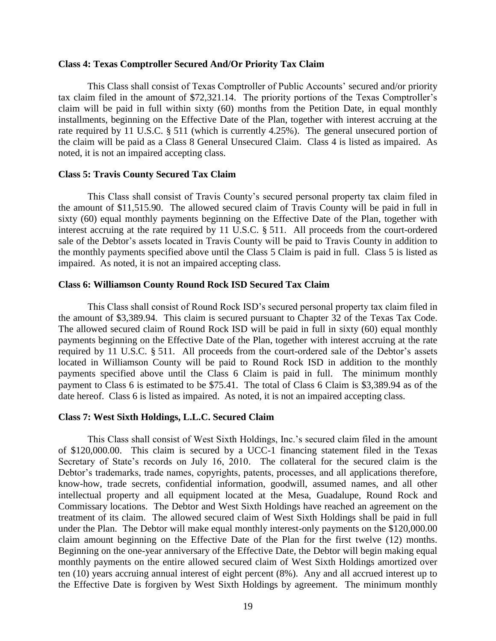### **Class 4: Texas Comptroller Secured And/Or Priority Tax Claim**

This Class shall consist of Texas Comptroller of Public Accounts' secured and/or priority tax claim filed in the amount of \$72,321.14. The priority portions of the Texas Comptroller's claim will be paid in full within sixty (60) months from the Petition Date, in equal monthly installments, beginning on the Effective Date of the Plan, together with interest accruing at the rate required by 11 U.S.C. § 511 (which is currently 4.25%). The general unsecured portion of the claim will be paid as a Class 8 General Unsecured Claim. Class 4 is listed as impaired. As noted, it is not an impaired accepting class.

## **Class 5: Travis County Secured Tax Claim**

This Class shall consist of Travis County's secured personal property tax claim filed in the amount of \$11,515.90. The allowed secured claim of Travis County will be paid in full in sixty (60) equal monthly payments beginning on the Effective Date of the Plan, together with interest accruing at the rate required by 11 U.S.C. § 511. All proceeds from the court-ordered sale of the Debtor's assets located in Travis County will be paid to Travis County in addition to the monthly payments specified above until the Class 5 Claim is paid in full. Class 5 is listed as impaired. As noted, it is not an impaired accepting class.

### **Class 6: Williamson County Round Rock ISD Secured Tax Claim**

This Class shall consist of Round Rock ISD's secured personal property tax claim filed in the amount of \$3,389.94. This claim is secured pursuant to Chapter 32 of the Texas Tax Code. The allowed secured claim of Round Rock ISD will be paid in full in sixty (60) equal monthly payments beginning on the Effective Date of the Plan, together with interest accruing at the rate required by 11 U.S.C. § 511. All proceeds from the court-ordered sale of the Debtor's assets located in Williamson County will be paid to Round Rock ISD in addition to the monthly payments specified above until the Class 6 Claim is paid in full. The minimum monthly payment to Class 6 is estimated to be \$75.41. The total of Class 6 Claim is \$3,389.94 as of the date hereof. Class 6 is listed as impaired. As noted, it is not an impaired accepting class.

## **Class 7: West Sixth Holdings, L.L.C. Secured Claim**

This Class shall consist of West Sixth Holdings, Inc.'s secured claim filed in the amount of \$120,000.00. This claim is secured by a UCC-1 financing statement filed in the Texas Secretary of State's records on July 16, 2010. The collateral for the secured claim is the Debtor's trademarks, trade names, copyrights, patents, processes, and all applications therefore, know-how, trade secrets, confidential information, goodwill, assumed names, and all other intellectual property and all equipment located at the Mesa, Guadalupe, Round Rock and Commissary locations. The Debtor and West Sixth Holdings have reached an agreement on the treatment of its claim. The allowed secured claim of West Sixth Holdings shall be paid in full under the Plan. The Debtor will make equal monthly interest-only payments on the \$120,000.00 claim amount beginning on the Effective Date of the Plan for the first twelve (12) months. Beginning on the one-year anniversary of the Effective Date, the Debtor will begin making equal monthly payments on the entire allowed secured claim of West Sixth Holdings amortized over ten (10) years accruing annual interest of eight percent (8%). Any and all accrued interest up to the Effective Date is forgiven by West Sixth Holdings by agreement. The minimum monthly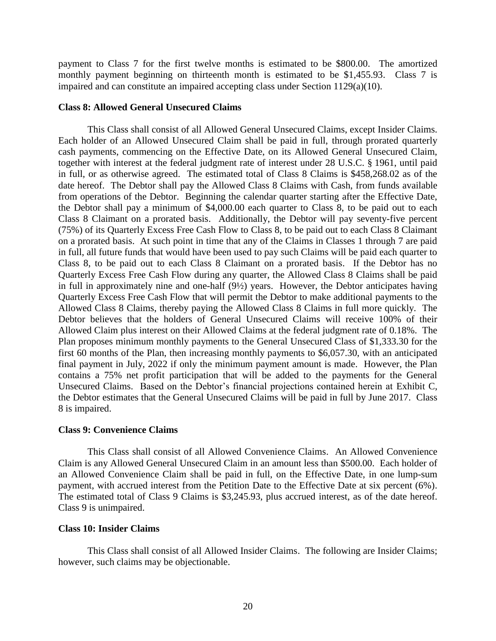payment to Class 7 for the first twelve months is estimated to be \$800.00. The amortized monthly payment beginning on thirteenth month is estimated to be \$1,455.93. Class 7 is impaired and can constitute an impaired accepting class under Section 1129(a)(10).

# **Class 8: Allowed General Unsecured Claims**

This Class shall consist of all Allowed General Unsecured Claims, except Insider Claims. Each holder of an Allowed Unsecured Claim shall be paid in full, through prorated quarterly cash payments, commencing on the Effective Date, on its Allowed General Unsecured Claim, together with interest at the federal judgment rate of interest under 28 U.S.C. § 1961, until paid in full, or as otherwise agreed. The estimated total of Class 8 Claims is \$458,268.02 as of the date hereof. The Debtor shall pay the Allowed Class 8 Claims with Cash, from funds available from operations of the Debtor. Beginning the calendar quarter starting after the Effective Date, the Debtor shall pay a minimum of \$4,000.00 each quarter to Class 8, to be paid out to each Class 8 Claimant on a prorated basis. Additionally, the Debtor will pay seventy-five percent (75%) of its Quarterly Excess Free Cash Flow to Class 8, to be paid out to each Class 8 Claimant on a prorated basis. At such point in time that any of the Claims in Classes 1 through 7 are paid in full, all future funds that would have been used to pay such Claims will be paid each quarter to Class 8, to be paid out to each Class 8 Claimant on a prorated basis. If the Debtor has no Quarterly Excess Free Cash Flow during any quarter, the Allowed Class 8 Claims shall be paid in full in approximately nine and one-half  $(9\frac{1}{2})$  years. However, the Debtor anticipates having Quarterly Excess Free Cash Flow that will permit the Debtor to make additional payments to the Allowed Class 8 Claims, thereby paying the Allowed Class 8 Claims in full more quickly. The Debtor believes that the holders of General Unsecured Claims will receive 100% of their Allowed Claim plus interest on their Allowed Claims at the federal judgment rate of 0.18%. The Plan proposes minimum monthly payments to the General Unsecured Class of \$1,333.30 for the first 60 months of the Plan, then increasing monthly payments to \$6,057.30, with an anticipated final payment in July, 2022 if only the minimum payment amount is made. However, the Plan contains a 75% net profit participation that will be added to the payments for the General Unsecured Claims. Based on the Debtor's financial projections contained herein at Exhibit C, the Debtor estimates that the General Unsecured Claims will be paid in full by June 2017. Class 8 is impaired.

## **Class 9: Convenience Claims**

This Class shall consist of all Allowed Convenience Claims. An Allowed Convenience Claim is any Allowed General Unsecured Claim in an amount less than \$500.00. Each holder of an Allowed Convenience Claim shall be paid in full, on the Effective Date, in one lump-sum payment, with accrued interest from the Petition Date to the Effective Date at six percent (6%). The estimated total of Class 9 Claims is \$3,245.93, plus accrued interest, as of the date hereof. Class 9 is unimpaired.

# **Class 10: Insider Claims**

This Class shall consist of all Allowed Insider Claims. The following are Insider Claims; however, such claims may be objectionable.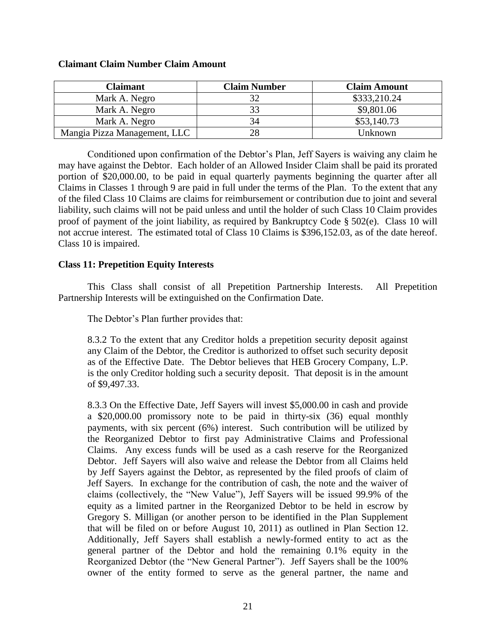| <b>Claimant</b>              | <b>Claim Number</b> | <b>Claim Amount</b> |
|------------------------------|---------------------|---------------------|
| Mark A. Negro                |                     | \$333,210.24        |
| Mark A. Negro                | 33                  | \$9,801.06          |
| Mark A. Negro                |                     | \$53,140.73         |
| Mangia Pizza Management, LLC | 28                  | Unknown             |

# **Claimant Claim Number Claim Amount**

Conditioned upon confirmation of the Debtor's Plan, Jeff Sayers is waiving any claim he may have against the Debtor. Each holder of an Allowed Insider Claim shall be paid its prorated portion of \$20,000.00, to be paid in equal quarterly payments beginning the quarter after all Claims in Classes 1 through 9 are paid in full under the terms of the Plan. To the extent that any of the filed Class 10 Claims are claims for reimbursement or contribution due to joint and several liability, such claims will not be paid unless and until the holder of such Class 10 Claim provides proof of payment of the joint liability, as required by Bankruptcy Code § 502(e). Class 10 will not accrue interest. The estimated total of Class 10 Claims is \$396,152.03, as of the date hereof. Class 10 is impaired.

# **Class 11: Prepetition Equity Interests**

This Class shall consist of all Prepetition Partnership Interests. All Prepetition Partnership Interests will be extinguished on the Confirmation Date.

The Debtor's Plan further provides that:

8.3.2 To the extent that any Creditor holds a prepetition security deposit against any Claim of the Debtor, the Creditor is authorized to offset such security deposit as of the Effective Date. The Debtor believes that HEB Grocery Company, L.P. is the only Creditor holding such a security deposit. That deposit is in the amount of \$9,497.33.

8.3.3 On the Effective Date, Jeff Sayers will invest \$5,000.00 in cash and provide a \$20,000.00 promissory note to be paid in thirty-six (36) equal monthly payments, with six percent (6%) interest. Such contribution will be utilized by the Reorganized Debtor to first pay Administrative Claims and Professional Claims. Any excess funds will be used as a cash reserve for the Reorganized Debtor. Jeff Sayers will also waive and release the Debtor from all Claims held by Jeff Sayers against the Debtor, as represented by the filed proofs of claim of Jeff Sayers. In exchange for the contribution of cash, the note and the waiver of claims (collectively, the "New Value"), Jeff Sayers will be issued 99.9% of the equity as a limited partner in the Reorganized Debtor to be held in escrow by Gregory S. Milligan (or another person to be identified in the Plan Supplement that will be filed on or before August 10, 2011) as outlined in Plan Section 12. Additionally, Jeff Sayers shall establish a newly-formed entity to act as the general partner of the Debtor and hold the remaining 0.1% equity in the Reorganized Debtor (the "New General Partner"). Jeff Sayers shall be the 100% owner of the entity formed to serve as the general partner, the name and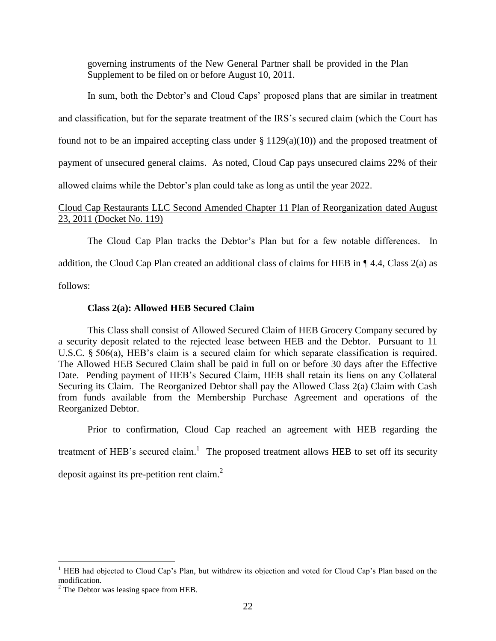governing instruments of the New General Partner shall be provided in the Plan Supplement to be filed on or before August 10, 2011.

In sum, both the Debtor's and Cloud Caps' proposed plans that are similar in treatment and classification, but for the separate treatment of the IRS's secured claim (which the Court has found not to be an impaired accepting class under  $\S 1129(a)(10)$  and the proposed treatment of payment of unsecured general claims. As noted, Cloud Cap pays unsecured claims 22% of their allowed claims while the Debtor's plan could take as long as until the year 2022.

# Cloud Cap Restaurants LLC Second Amended Chapter 11 Plan of Reorganization dated August 23, 2011 (Docket No. 119)

The Cloud Cap Plan tracks the Debtor's Plan but for a few notable differences. In addition, the Cloud Cap Plan created an additional class of claims for HEB in  $\P$  4.4, Class 2(a) as follows:

# **Class 2(a): Allowed HEB Secured Claim**

This Class shall consist of Allowed Secured Claim of HEB Grocery Company secured by a security deposit related to the rejected lease between HEB and the Debtor. Pursuant to 11 U.S.C. § 506(a), HEB's claim is a secured claim for which separate classification is required. The Allowed HEB Secured Claim shall be paid in full on or before 30 days after the Effective Date. Pending payment of HEB's Secured Claim, HEB shall retain its liens on any Collateral Securing its Claim. The Reorganized Debtor shall pay the Allowed Class 2(a) Claim with Cash from funds available from the Membership Purchase Agreement and operations of the Reorganized Debtor.

Prior to confirmation, Cloud Cap reached an agreement with HEB regarding the treatment of HEB's secured claim.<sup>1</sup> The proposed treatment allows HEB to set off its security deposit against its pre-petition rent claim.<sup>2</sup>

 $\overline{a}$ 

<sup>&</sup>lt;sup>1</sup> HEB had objected to Cloud Cap's Plan, but withdrew its objection and voted for Cloud Cap's Plan based on the modification.

<sup>&</sup>lt;sup>2</sup> The Debtor was leasing space from HEB.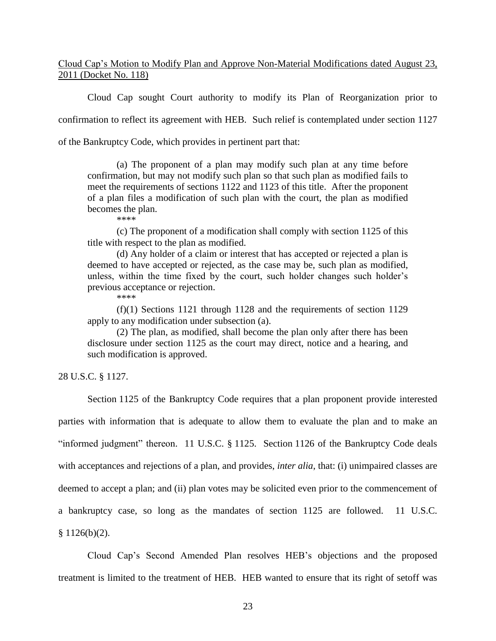Cloud Cap's Motion to Modify Plan and Approve Non-Material Modifications dated August 23, 2011 (Docket No. 118)

Cloud Cap sought Court authority to modify its Plan of Reorganization prior to

confirmation to reflect its agreement with HEB. Such relief is contemplated under section 1127

of the Bankruptcy Code, which provides in pertinent part that:

(a) The proponent of a plan may modify such plan at any time before confirmation, but may not modify such plan so that such plan as modified fails to meet the requirements of sections 1122 and 1123 of this title. After the proponent of a plan files a modification of such plan with the court, the plan as modified becomes the plan.

\*\*\*\*

(c) The proponent of a modification shall comply with section 1125 of this title with respect to the plan as modified.

(d) Any holder of a claim or interest that has accepted or rejected a plan is deemed to have accepted or rejected, as the case may be, such plan as modified, unless, within the time fixed by the court, such holder changes such holder's previous acceptance or rejection.

\*\*\*\*

(f)(1) Sections 1121 through 1128 and the requirements of section 1129 apply to any modification under subsection (a).

(2) The plan, as modified, shall become the plan only after there has been disclosure under section 1125 as the court may direct, notice and a hearing, and such modification is approved.

28 U.S.C. § 1127.

Section 1125 of the Bankruptcy Code requires that a plan proponent provide interested parties with information that is adequate to allow them to evaluate the plan and to make an "informed judgment" thereon. 11 U.S.C. § 1125. Section 1126 of the Bankruptcy Code deals with acceptances and rejections of a plan, and provides, *inter alia*, that: (i) unimpaired classes are deemed to accept a plan; and (ii) plan votes may be solicited even prior to the commencement of a bankruptcy case, so long as the mandates of section 1125 are followed. 11 U.S.C.  $$1126(b)(2).$ 

Cloud Cap's Second Amended Plan resolves HEB's objections and the proposed treatment is limited to the treatment of HEB. HEB wanted to ensure that its right of setoff was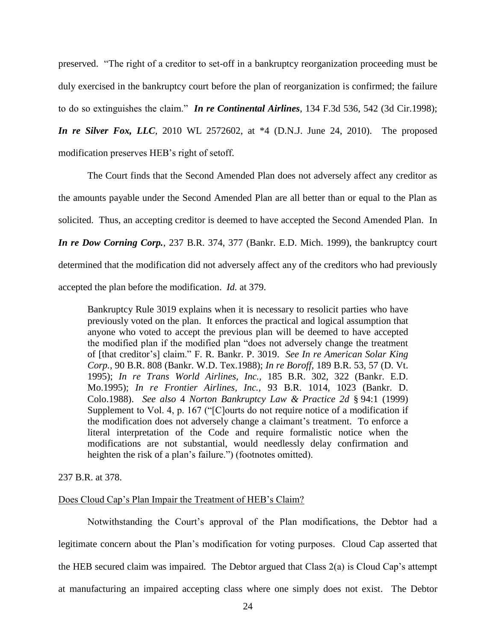preserved. "The right of a creditor to set-off in a bankruptcy reorganization proceeding must be duly exercised in the bankruptcy court before the plan of reorganization is confirmed; the failure to do so extinguishes the claim." *In re Continental Airlines,* 134 F.3d 536, 542 (3d Cir.1998); *In re Silver Fox, LLC*, 2010 WL 2572602, at \*4 (D.N.J. June 24, 2010). The proposed modification preserves HEB's right of setoff.

The Court finds that the Second Amended Plan does not adversely affect any creditor as the amounts payable under the Second Amended Plan are all better than or equal to the Plan as solicited. Thus, an accepting creditor is deemed to have accepted the Second Amended Plan. In *In re Dow Corning Corp.*, 237 B.R. 374, 377 (Bankr. E.D. Mich. 1999), the bankruptcy court determined that the modification did not adversely affect any of the creditors who had previously accepted the plan before the modification. *Id.* at 379.

Bankruptcy Rule 3019 explains when it is necessary to resolicit parties who have previously voted on the plan. It enforces the practical and logical assumption that anyone who voted to accept the previous plan will be deemed to have accepted the modified plan if the modified plan "does not adversely change the treatment of [that creditor's] claim." F. R. Bankr. P. 3019. *See In re American Solar King Corp.,* 90 B.R. 808 (Bankr. W.D. Tex.1988); *In re Boroff,* 189 B.R. 53, 57 (D. Vt. 1995); *In re Trans World Airlines, Inc.,* 185 B.R. 302, 322 (Bankr. E.D. Mo.1995); *In re Frontier Airlines, Inc.,* 93 B.R. 1014, 1023 (Bankr. D. Colo.1988). *See also* 4 *Norton Bankruptcy Law & Practice 2d* § 94:1 (1999) Supplement to Vol. 4, p. 167 ("[C]ourts do not require notice of a modification if the modification does not adversely change a claimant's treatment. To enforce a literal interpretation of the Code and require formalistic notice when the modifications are not substantial, would needlessly delay confirmation and heighten the risk of a plan's failure.") (footnotes omitted).

237 B.R. at 378.

## Does Cloud Cap's Plan Impair the Treatment of HEB's Claim?

Notwithstanding the Court's approval of the Plan modifications, the Debtor had a legitimate concern about the Plan's modification for voting purposes. Cloud Cap asserted that the HEB secured claim was impaired. The Debtor argued that Class  $2(a)$  is Cloud Cap's attempt at manufacturing an impaired accepting class where one simply does not exist. The Debtor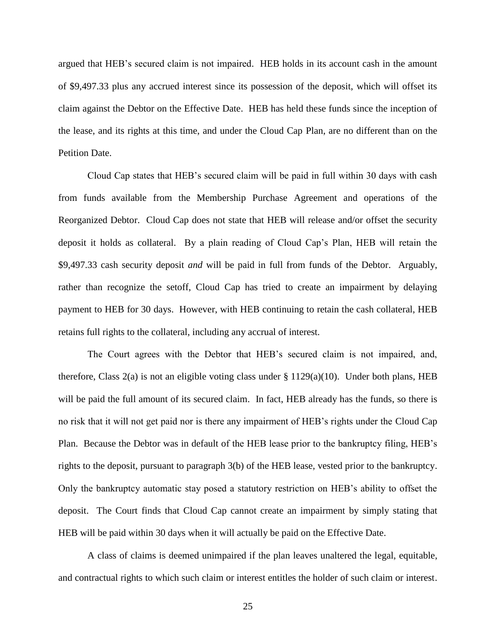argued that HEB's secured claim is not impaired. HEB holds in its account cash in the amount of \$9,497.33 plus any accrued interest since its possession of the deposit, which will offset its claim against the Debtor on the Effective Date. HEB has held these funds since the inception of the lease, and its rights at this time, and under the Cloud Cap Plan, are no different than on the Petition Date.

Cloud Cap states that HEB's secured claim will be paid in full within 30 days with cash from funds available from the Membership Purchase Agreement and operations of the Reorganized Debtor. Cloud Cap does not state that HEB will release and/or offset the security deposit it holds as collateral. By a plain reading of Cloud Cap's Plan, HEB will retain the \$9,497.33 cash security deposit *and* will be paid in full from funds of the Debtor. Arguably, rather than recognize the setoff, Cloud Cap has tried to create an impairment by delaying payment to HEB for 30 days. However, with HEB continuing to retain the cash collateral, HEB retains full rights to the collateral, including any accrual of interest.

The Court agrees with the Debtor that HEB's secured claim is not impaired, and, therefore, Class 2(a) is not an eligible voting class under  $\S 1129(a)(10)$ . Under both plans, HEB will be paid the full amount of its secured claim. In fact, HEB already has the funds, so there is no risk that it will not get paid nor is there any impairment of HEB's rights under the Cloud Cap Plan. Because the Debtor was in default of the HEB lease prior to the bankruptcy filing, HEB's rights to the deposit, pursuant to paragraph 3(b) of the HEB lease, vested prior to the bankruptcy. Only the bankruptcy automatic stay posed a statutory restriction on HEB's ability to offset the deposit. The Court finds that Cloud Cap cannot create an impairment by simply stating that HEB will be paid within 30 days when it will actually be paid on the Effective Date.

A class of claims is deemed unimpaired if the plan leaves unaltered the legal, equitable, and contractual rights to which such claim or interest entitles the holder of such claim or interest.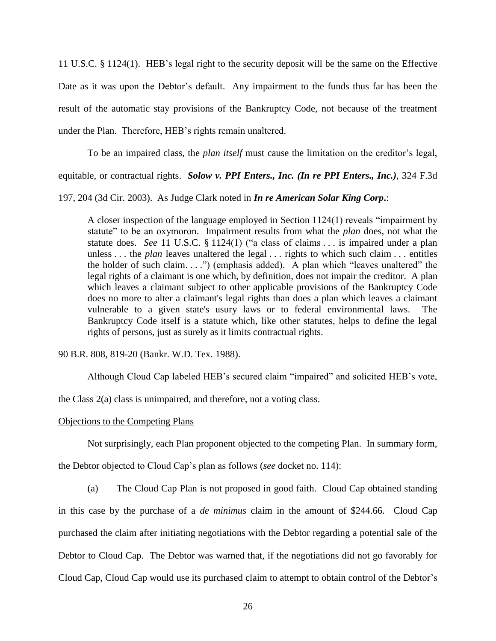11 U.S.C. § 1124(1). HEB's legal right to the security deposit will be the same on the Effective Date as it was upon the Debtor's default. Any impairment to the funds thus far has been the result of the automatic stay provisions of the Bankruptcy Code, not because of the treatment under the Plan. Therefore, HEB's rights remain unaltered.

To be an impaired class, the *plan itself* must cause the limitation on the creditor's legal, equitable, or contractual rights. *Solow v. PPI Enters., Inc. (In re PPI Enters., Inc.)*, 324 F.3d

197, 204 (3d Cir. 2003). As Judge Clark noted in *In re American Solar King Corp***.**:

A closer inspection of the language employed in Section 1124(1) reveals "impairment by statute" to be an oxymoron. Impairment results from what the *plan* does, not what the statute does. *See* 11 U.S.C. § 1124(1) ("a class of claims . . . is impaired under a plan unless . . . the *plan* leaves unaltered the legal . . . rights to which such claim . . . entitles the holder of such claim. . . .") (emphasis added). A plan which "leaves unaltered" the legal rights of a claimant is one which, by definition, does not impair the creditor. A plan which leaves a claimant subject to other applicable provisions of the Bankruptcy Code does no more to alter a claimant's legal rights than does a plan which leaves a claimant vulnerable to a given state's usury laws or to federal environmental laws. The Bankruptcy Code itself is a statute which, like other statutes, helps to define the legal rights of persons, just as surely as it limits contractual rights.

90 B.R. 808, 819-20 (Bankr. W.D. Tex. 1988).

Although Cloud Cap labeled HEB's secured claim "impaired" and solicited HEB's vote,

the Class 2(a) class is unimpaired, and therefore, not a voting class.

## Objections to the Competing Plans

Not surprisingly, each Plan proponent objected to the competing Plan. In summary form,

the Debtor objected to Cloud Cap's plan as follows (*see* docket no. 114):

(a) The Cloud Cap Plan is not proposed in good faith. Cloud Cap obtained standing in this case by the purchase of a *de minimus* claim in the amount of \$244.66. Cloud Cap purchased the claim after initiating negotiations with the Debtor regarding a potential sale of the Debtor to Cloud Cap. The Debtor was warned that, if the negotiations did not go favorably for Cloud Cap, Cloud Cap would use its purchased claim to attempt to obtain control of the Debtor's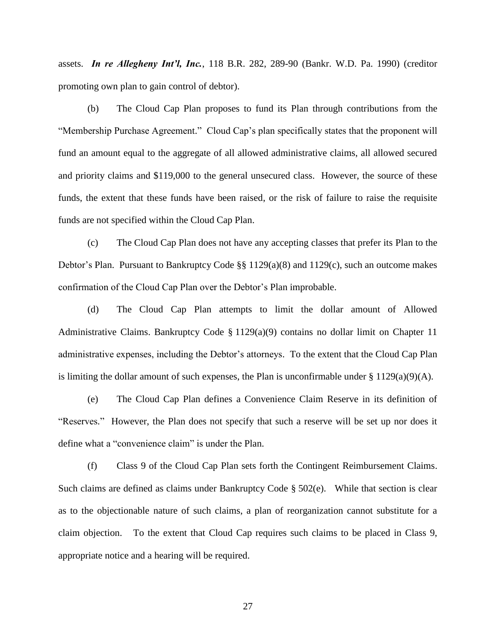assets. *In re Allegheny Int'l, Inc.*, 118 B.R. 282, 289-90 (Bankr. W.D. Pa. 1990) (creditor promoting own plan to gain control of debtor).

(b) The Cloud Cap Plan proposes to fund its Plan through contributions from the "Membership Purchase Agreement." Cloud Cap's plan specifically states that the proponent will fund an amount equal to the aggregate of all allowed administrative claims, all allowed secured and priority claims and \$119,000 to the general unsecured class. However, the source of these funds, the extent that these funds have been raised, or the risk of failure to raise the requisite funds are not specified within the Cloud Cap Plan.

(c) The Cloud Cap Plan does not have any accepting classes that prefer its Plan to the Debtor's Plan. Pursuant to Bankruptcy Code §§ 1129(a)(8) and 1129(c), such an outcome makes confirmation of the Cloud Cap Plan over the Debtor's Plan improbable.

(d) The Cloud Cap Plan attempts to limit the dollar amount of Allowed Administrative Claims. Bankruptcy Code § 1129(a)(9) contains no dollar limit on Chapter 11 administrative expenses, including the Debtor's attorneys. To the extent that the Cloud Cap Plan is limiting the dollar amount of such expenses, the Plan is unconfirmable under  $\S 1129(a)(9)(A)$ .

(e) The Cloud Cap Plan defines a Convenience Claim Reserve in its definition of "Reserves." However, the Plan does not specify that such a reserve will be set up nor does it define what a "convenience claim" is under the Plan.

(f) Class 9 of the Cloud Cap Plan sets forth the Contingent Reimbursement Claims. Such claims are defined as claims under Bankruptcy Code § 502(e). While that section is clear as to the objectionable nature of such claims, a plan of reorganization cannot substitute for a claim objection. To the extent that Cloud Cap requires such claims to be placed in Class 9, appropriate notice and a hearing will be required.

27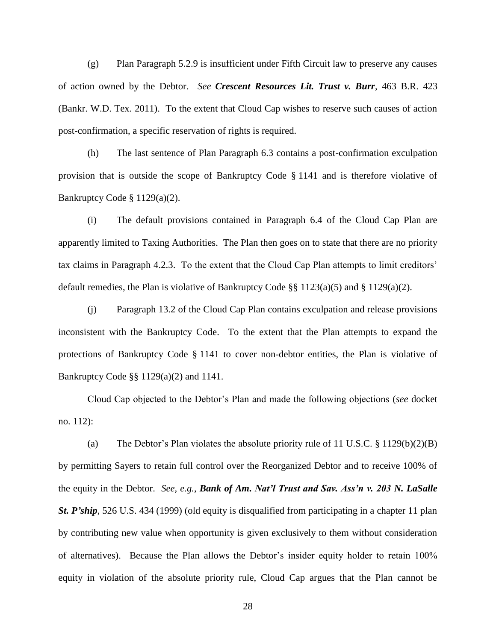(g) Plan Paragraph 5.2.9 is insufficient under Fifth Circuit law to preserve any causes of action owned by the Debtor. *See Crescent Resources Lit. Trust v. Burr*, 463 B.R. 423 (Bankr. W.D. Tex. 2011). To the extent that Cloud Cap wishes to reserve such causes of action post-confirmation, a specific reservation of rights is required.

(h) The last sentence of Plan Paragraph 6.3 contains a post-confirmation exculpation provision that is outside the scope of Bankruptcy Code § 1141 and is therefore violative of Bankruptcy Code § 1129(a)(2).

(i) The default provisions contained in Paragraph 6.4 of the Cloud Cap Plan are apparently limited to Taxing Authorities. The Plan then goes on to state that there are no priority tax claims in Paragraph 4.2.3. To the extent that the Cloud Cap Plan attempts to limit creditors' default remedies, the Plan is violative of Bankruptcy Code §§ 1123(a)(5) and § 1129(a)(2).

(j) Paragraph 13.2 of the Cloud Cap Plan contains exculpation and release provisions inconsistent with the Bankruptcy Code. To the extent that the Plan attempts to expand the protections of Bankruptcy Code § 1141 to cover non-debtor entities, the Plan is violative of Bankruptcy Code §§ 1129(a)(2) and 1141.

Cloud Cap objected to the Debtor's Plan and made the following objections (*see* docket no. 112):

(a) The Debtor's Plan violates the absolute priority rule of 11 U.S.C.  $\S 1129(b)(2)(B)$ by permitting Sayers to retain full control over the Reorganized Debtor and to receive 100% of the equity in the Debtor. *See, e.g.*, *Bank of Am. Nat'l Trust and Sav. Ass'n v. 203 N. LaSalle St. P'ship*, 526 U.S. 434 (1999) (old equity is disqualified from participating in a chapter 11 plan by contributing new value when opportunity is given exclusively to them without consideration of alternatives). Because the Plan allows the Debtor's insider equity holder to retain 100% equity in violation of the absolute priority rule, Cloud Cap argues that the Plan cannot be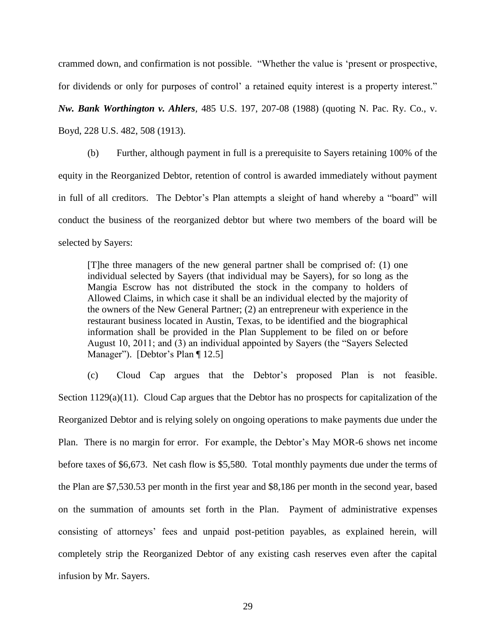crammed down, and confirmation is not possible. "Whether the value is 'present or prospective, for dividends or only for purposes of control' a retained equity interest is a property interest."

*Nw. Bank Worthington v. Ahlers,* 485 U.S. 197, 207-08 (1988) (quoting N. Pac. Ry. Co., v.

Boyd, 228 U.S. 482, 508 (1913).

(b) Further, although payment in full is a prerequisite to Sayers retaining 100% of the equity in the Reorganized Debtor, retention of control is awarded immediately without payment in full of all creditors. The Debtor's Plan attempts a sleight of hand whereby a "board" will conduct the business of the reorganized debtor but where two members of the board will be selected by Sayers:

[T]he three managers of the new general partner shall be comprised of: (1) one individual selected by Sayers (that individual may be Sayers), for so long as the Mangia Escrow has not distributed the stock in the company to holders of Allowed Claims, in which case it shall be an individual elected by the majority of the owners of the New General Partner; (2) an entrepreneur with experience in the restaurant business located in Austin, Texas, to be identified and the biographical information shall be provided in the Plan Supplement to be filed on or before August 10, 2011; and (3) an individual appointed by Sayers (the "Sayers Selected Manager"). [Debtor's Plan [12.5]

(c) Cloud Cap argues that the Debtor's proposed Plan is not feasible. Section 1129(a)(11). Cloud Cap argues that the Debtor has no prospects for capitalization of the Reorganized Debtor and is relying solely on ongoing operations to make payments due under the Plan. There is no margin for error. For example, the Debtor's May MOR-6 shows net income before taxes of \$6,673. Net cash flow is \$5,580. Total monthly payments due under the terms of the Plan are \$7,530.53 per month in the first year and \$8,186 per month in the second year, based on the summation of amounts set forth in the Plan. Payment of administrative expenses consisting of attorneys' fees and unpaid post-petition payables, as explained herein, will completely strip the Reorganized Debtor of any existing cash reserves even after the capital infusion by Mr. Sayers.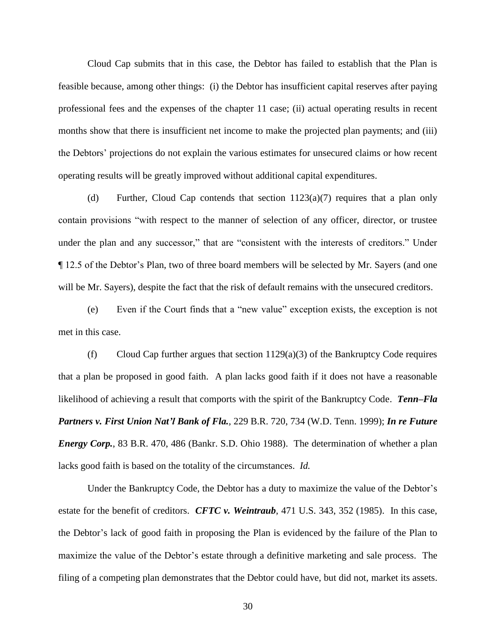Cloud Cap submits that in this case, the Debtor has failed to establish that the Plan is feasible because, among other things: (i) the Debtor has insufficient capital reserves after paying professional fees and the expenses of the chapter 11 case; (ii) actual operating results in recent months show that there is insufficient net income to make the projected plan payments; and (iii) the Debtors' projections do not explain the various estimates for unsecured claims or how recent operating results will be greatly improved without additional capital expenditures.

(d) Further, Cloud Cap contends that section 1123(a)(7) requires that a plan only contain provisions "with respect to the manner of selection of any officer, director, or trustee under the plan and any successor," that are "consistent with the interests of creditors." Under ¶ 12.5 of the Debtor's Plan, two of three board members will be selected by Mr. Sayers (and one will be Mr. Sayers), despite the fact that the risk of default remains with the unsecured creditors.

(e) Even if the Court finds that a "new value" exception exists, the exception is not met in this case.

(f) Cloud Cap further argues that section  $1129(a)(3)$  of the Bankruptcy Code requires that a plan be proposed in good faith. A plan lacks good faith if it does not have a reasonable likelihood of achieving a result that comports with the spirit of the Bankruptcy Code. *Tenn–Fla Partners v. First Union Nat'l Bank of Fla.,* 229 B.R. 720, 734 (W.D. Tenn. 1999); *In re Future Energy Corp.*, 83 B.R. 470, 486 (Bankr. S.D. Ohio 1988). The determination of whether a plan lacks good faith is based on the totality of the circumstances. *Id.*

Under the Bankruptcy Code, the Debtor has a duty to maximize the value of the Debtor's estate for the benefit of creditors. *CFTC v. Weintraub*, 471 U.S. 343, 352 (1985). In this case, the Debtor's lack of good faith in proposing the Plan is evidenced by the failure of the Plan to maximize the value of the Debtor's estate through a definitive marketing and sale process. The filing of a competing plan demonstrates that the Debtor could have, but did not, market its assets.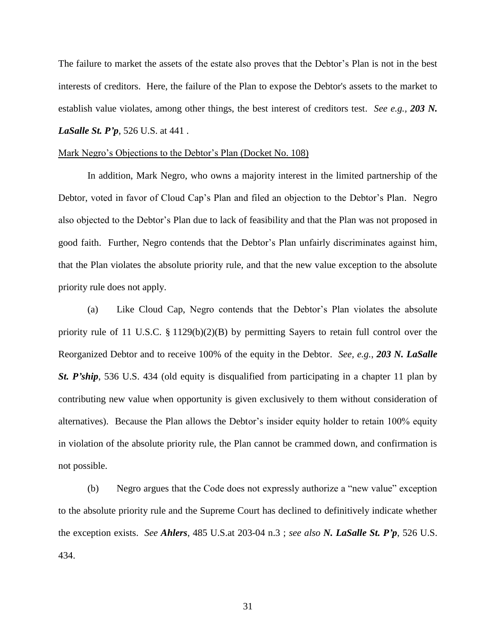The failure to market the assets of the estate also proves that the Debtor's Plan is not in the best interests of creditors. Here, the failure of the Plan to expose the Debtor's assets to the market to establish value violates, among other things, the best interest of creditors test. *See e.g., 203 N. LaSalle St. P'p*, 526 U.S. at 441.

### Mark Negro's Objections to the Debtor's Plan (Docket No. 108)

In addition, Mark Negro, who owns a majority interest in the limited partnership of the Debtor, voted in favor of Cloud Cap's Plan and filed an objection to the Debtor's Plan. Negro also objected to the Debtor's Plan due to lack of feasibility and that the Plan was not proposed in good faith. Further, Negro contends that the Debtor's Plan unfairly discriminates against him, that the Plan violates the absolute priority rule, and that the new value exception to the absolute priority rule does not apply.

(a) Like Cloud Cap, Negro contends that the Debtor's Plan violates the absolute priority rule of 11 U.S.C. § 1129(b)(2)(B) by permitting Sayers to retain full control over the Reorganized Debtor and to receive 100% of the equity in the Debtor. *See, e.g.*, *203 N. LaSalle St. P'ship*, 536 U.S. 434 (old equity is disqualified from participating in a chapter 11 plan by contributing new value when opportunity is given exclusively to them without consideration of alternatives). Because the Plan allows the Debtor's insider equity holder to retain 100% equity in violation of the absolute priority rule, the Plan cannot be crammed down, and confirmation is not possible.

(b) Negro argues that the Code does not expressly authorize a "new value" exception to the absolute priority rule and the Supreme Court has declined to definitively indicate whether the exception exists. *See Ahlers*, 485 U.S.at 203-04 n.3 ; *see also N. LaSalle St. P'p*, 526 U.S. 434.

31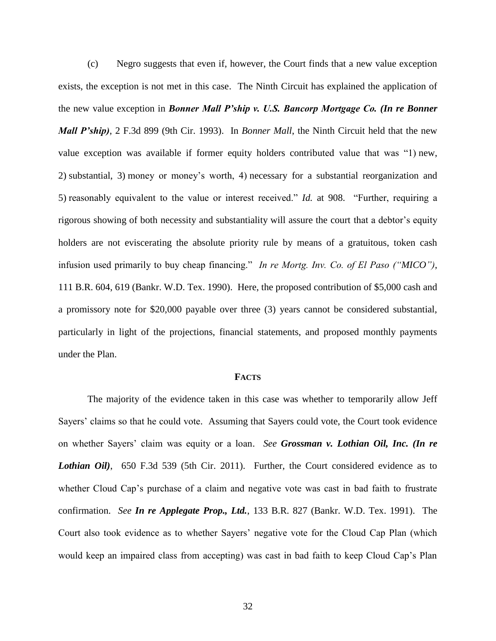(c) Negro suggests that even if, however, the Court finds that a new value exception exists, the exception is not met in this case. The Ninth Circuit has explained the application of the new value exception in *Bonner Mall P'ship v. U.S. Bancorp Mortgage Co. (In re Bonner Mall P'ship)*, 2 F.3d 899 (9th Cir. 1993). In *Bonner Mall*, the Ninth Circuit held that the new value exception was available if former equity holders contributed value that was "1) new, 2) substantial, 3) money or money's worth, 4) necessary for a substantial reorganization and 5) reasonably equivalent to the value or interest received." *Id.* at 908. "Further, requiring a rigorous showing of both necessity and substantiality will assure the court that a debtor's equity holders are not eviscerating the absolute priority rule by means of a gratuitous, token cash infusion used primarily to buy cheap financing." *In re Mortg. Inv. Co. of El Paso ("MICO")*, 111 B.R. 604, 619 (Bankr. W.D. Tex. 1990). Here, the proposed contribution of \$5,000 cash and a promissory note for \$20,000 payable over three (3) years cannot be considered substantial, particularly in light of the projections, financial statements, and proposed monthly payments under the Plan.

#### **FACTS**

The majority of the evidence taken in this case was whether to temporarily allow Jeff Sayers' claims so that he could vote. Assuming that Sayers could vote, the Court took evidence on whether Sayers' claim was equity or a loan. *See Grossman v. Lothian Oil, Inc. (In re Lothian Oil)*, 650 F.3d 539 (5th Cir. 2011). Further, the Court considered evidence as to whether Cloud Cap's purchase of a claim and negative vote was cast in bad faith to frustrate confirmation. *See In re Applegate Prop., Ltd.*, 133 B.R. 827 (Bankr. W.D. Tex. 1991). The Court also took evidence as to whether Sayers' negative vote for the Cloud Cap Plan (which would keep an impaired class from accepting) was cast in bad faith to keep Cloud Cap's Plan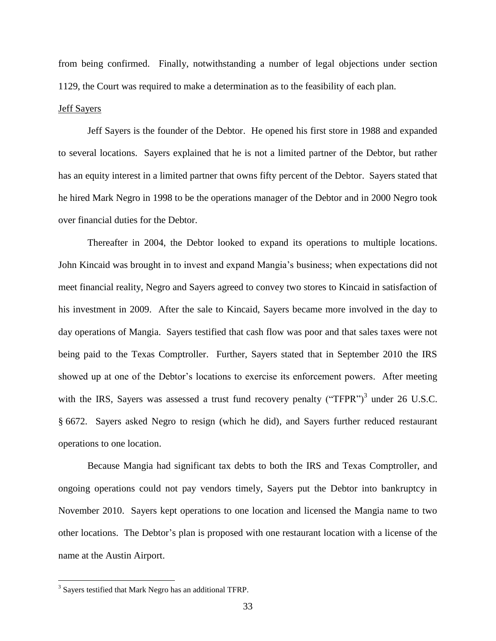from being confirmed. Finally, notwithstanding a number of legal objections under section 1129, the Court was required to make a determination as to the feasibility of each plan.

### Jeff Sayers

Jeff Sayers is the founder of the Debtor. He opened his first store in 1988 and expanded to several locations. Sayers explained that he is not a limited partner of the Debtor, but rather has an equity interest in a limited partner that owns fifty percent of the Debtor. Sayers stated that he hired Mark Negro in 1998 to be the operations manager of the Debtor and in 2000 Negro took over financial duties for the Debtor.

Thereafter in 2004, the Debtor looked to expand its operations to multiple locations. John Kincaid was brought in to invest and expand Mangia's business; when expectations did not meet financial reality, Negro and Sayers agreed to convey two stores to Kincaid in satisfaction of his investment in 2009. After the sale to Kincaid, Sayers became more involved in the day to day operations of Mangia. Sayers testified that cash flow was poor and that sales taxes were not being paid to the Texas Comptroller. Further, Sayers stated that in September 2010 the IRS showed up at one of the Debtor's locations to exercise its enforcement powers. After meeting with the IRS, Sayers was assessed a trust fund recovery penalty ("TFPR")<sup>3</sup> under 26 U.S.C. § 6672. Sayers asked Negro to resign (which he did), and Sayers further reduced restaurant operations to one location.

Because Mangia had significant tax debts to both the IRS and Texas Comptroller, and ongoing operations could not pay vendors timely, Sayers put the Debtor into bankruptcy in November 2010. Sayers kept operations to one location and licensed the Mangia name to two other locations. The Debtor's plan is proposed with one restaurant location with a license of the name at the Austin Airport.

 $\overline{a}$ 

<sup>&</sup>lt;sup>3</sup> Sayers testified that Mark Negro has an additional TFRP.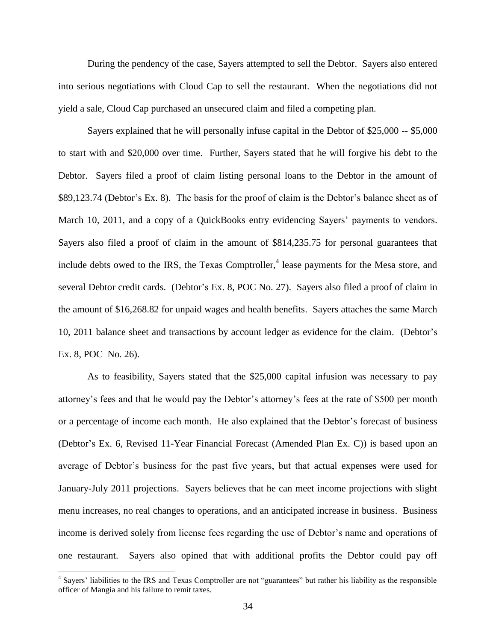During the pendency of the case, Sayers attempted to sell the Debtor. Sayers also entered into serious negotiations with Cloud Cap to sell the restaurant. When the negotiations did not yield a sale, Cloud Cap purchased an unsecured claim and filed a competing plan.

Sayers explained that he will personally infuse capital in the Debtor of \$25,000 -- \$5,000 to start with and \$20,000 over time. Further, Sayers stated that he will forgive his debt to the Debtor. Sayers filed a proof of claim listing personal loans to the Debtor in the amount of \$89,123.74 (Debtor's Ex. 8). The basis for the proof of claim is the Debtor's balance sheet as of March 10, 2011, and a copy of a QuickBooks entry evidencing Sayers' payments to vendors. Sayers also filed a proof of claim in the amount of \$814,235.75 for personal guarantees that include debts owed to the IRS, the Texas Comptroller,<sup>4</sup> lease payments for the Mesa store, and several Debtor credit cards. (Debtor's Ex. 8, POC No. 27). Sayers also filed a proof of claim in the amount of \$16,268.82 for unpaid wages and health benefits. Sayers attaches the same March 10, 2011 balance sheet and transactions by account ledger as evidence for the claim. (Debtor's Ex. 8, POC No. 26).

As to feasibility, Sayers stated that the \$25,000 capital infusion was necessary to pay attorney's fees and that he would pay the Debtor's attorney's fees at the rate of \$500 per month or a percentage of income each month. He also explained that the Debtor's forecast of business (Debtor's Ex. 6, Revised 11-Year Financial Forecast (Amended Plan Ex. C)) is based upon an average of Debtor's business for the past five years, but that actual expenses were used for January-July 2011 projections. Sayers believes that he can meet income projections with slight menu increases, no real changes to operations, and an anticipated increase in business. Business income is derived solely from license fees regarding the use of Debtor's name and operations of one restaurant. Sayers also opined that with additional profits the Debtor could pay off

 $\overline{a}$ 

<sup>&</sup>lt;sup>4</sup> Sayers' liabilities to the IRS and Texas Comptroller are not "guarantees" but rather his liability as the responsible officer of Mangia and his failure to remit taxes.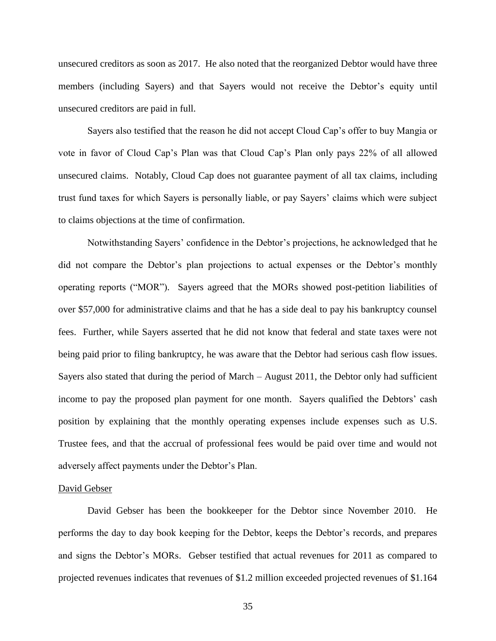unsecured creditors as soon as 2017. He also noted that the reorganized Debtor would have three members (including Sayers) and that Sayers would not receive the Debtor's equity until unsecured creditors are paid in full.

Sayers also testified that the reason he did not accept Cloud Cap's offer to buy Mangia or vote in favor of Cloud Cap's Plan was that Cloud Cap's Plan only pays 22% of all allowed unsecured claims. Notably, Cloud Cap does not guarantee payment of all tax claims, including trust fund taxes for which Sayers is personally liable, or pay Sayers' claims which were subject to claims objections at the time of confirmation.

Notwithstanding Sayers' confidence in the Debtor's projections, he acknowledged that he did not compare the Debtor's plan projections to actual expenses or the Debtor's monthly operating reports ("MOR"). Sayers agreed that the MORs showed post-petition liabilities of over \$57,000 for administrative claims and that he has a side deal to pay his bankruptcy counsel fees. Further, while Sayers asserted that he did not know that federal and state taxes were not being paid prior to filing bankruptcy, he was aware that the Debtor had serious cash flow issues. Sayers also stated that during the period of March – August 2011, the Debtor only had sufficient income to pay the proposed plan payment for one month. Sayers qualified the Debtors' cash position by explaining that the monthly operating expenses include expenses such as U.S. Trustee fees, and that the accrual of professional fees would be paid over time and would not adversely affect payments under the Debtor's Plan.

### David Gebser

David Gebser has been the bookkeeper for the Debtor since November 2010. He performs the day to day book keeping for the Debtor, keeps the Debtor's records, and prepares and signs the Debtor's MORs. Gebser testified that actual revenues for 2011 as compared to projected revenues indicates that revenues of \$1.2 million exceeded projected revenues of \$1.164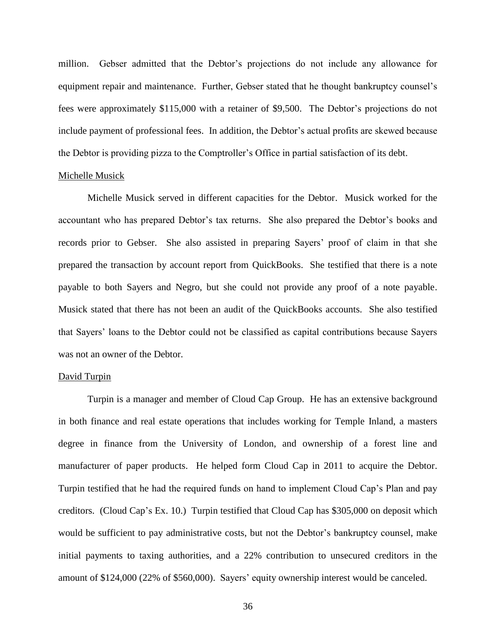million. Gebser admitted that the Debtor's projections do not include any allowance for equipment repair and maintenance. Further, Gebser stated that he thought bankruptcy counsel's fees were approximately \$115,000 with a retainer of \$9,500. The Debtor's projections do not include payment of professional fees. In addition, the Debtor's actual profits are skewed because the Debtor is providing pizza to the Comptroller's Office in partial satisfaction of its debt.

### Michelle Musick

Michelle Musick served in different capacities for the Debtor. Musick worked for the accountant who has prepared Debtor's tax returns. She also prepared the Debtor's books and records prior to Gebser. She also assisted in preparing Sayers' proof of claim in that she prepared the transaction by account report from QuickBooks. She testified that there is a note payable to both Sayers and Negro, but she could not provide any proof of a note payable. Musick stated that there has not been an audit of the QuickBooks accounts. She also testified that Sayers' loans to the Debtor could not be classified as capital contributions because Sayers was not an owner of the Debtor.

#### David Turpin

Turpin is a manager and member of Cloud Cap Group. He has an extensive background in both finance and real estate operations that includes working for Temple Inland, a masters degree in finance from the University of London, and ownership of a forest line and manufacturer of paper products. He helped form Cloud Cap in 2011 to acquire the Debtor. Turpin testified that he had the required funds on hand to implement Cloud Cap's Plan and pay creditors. (Cloud Cap's Ex. 10.) Turpin testified that Cloud Cap has \$305,000 on deposit which would be sufficient to pay administrative costs, but not the Debtor's bankruptcy counsel, make initial payments to taxing authorities, and a 22% contribution to unsecured creditors in the amount of \$124,000 (22% of \$560,000). Sayers' equity ownership interest would be canceled.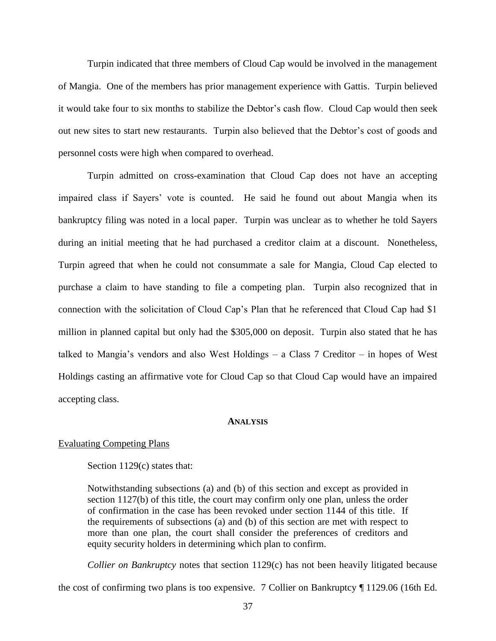Turpin indicated that three members of Cloud Cap would be involved in the management of Mangia. One of the members has prior management experience with Gattis. Turpin believed it would take four to six months to stabilize the Debtor's cash flow. Cloud Cap would then seek out new sites to start new restaurants. Turpin also believed that the Debtor's cost of goods and personnel costs were high when compared to overhead.

Turpin admitted on cross-examination that Cloud Cap does not have an accepting impaired class if Sayers' vote is counted. He said he found out about Mangia when its bankruptcy filing was noted in a local paper. Turpin was unclear as to whether he told Sayers during an initial meeting that he had purchased a creditor claim at a discount. Nonetheless, Turpin agreed that when he could not consummate a sale for Mangia, Cloud Cap elected to purchase a claim to have standing to file a competing plan. Turpin also recognized that in connection with the solicitation of Cloud Cap's Plan that he referenced that Cloud Cap had \$1 million in planned capital but only had the \$305,000 on deposit. Turpin also stated that he has talked to Mangia's vendors and also West Holdings – a Class 7 Creditor – in hopes of West Holdings casting an affirmative vote for Cloud Cap so that Cloud Cap would have an impaired accepting class.

### **ANALYSIS**

### Evaluating Competing Plans

Section 1129(c) states that:

Notwithstanding subsections (a) and (b) of this section and except as provided in section 1127(b) of this title, the court may confirm only one plan, unless the order of confirmation in the case has been revoked under section 1144 of this title. If the requirements of subsections (a) and (b) of this section are met with respect to more than one plan, the court shall consider the preferences of creditors and equity security holders in determining which plan to confirm.

*Collier on Bankruptcy* notes that section 1129(c) has not been heavily litigated because the cost of confirming two plans is too expensive. 7 Collier on Bankruptcy ¶ 1129.06 (16th Ed.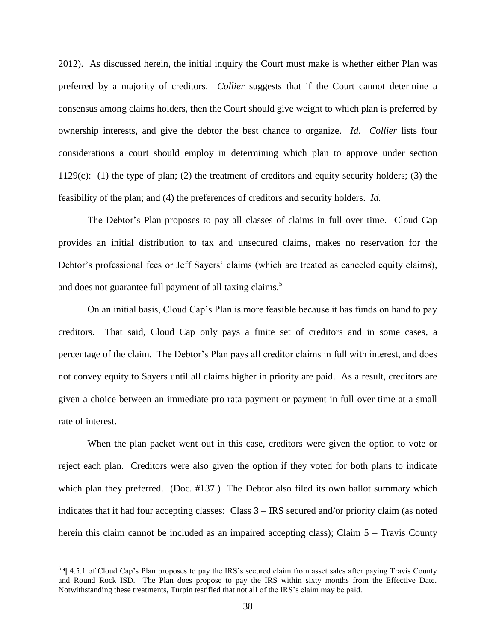2012). As discussed herein, the initial inquiry the Court must make is whether either Plan was preferred by a majority of creditors. *Collier* suggests that if the Court cannot determine a consensus among claims holders, then the Court should give weight to which plan is preferred by ownership interests, and give the debtor the best chance to organize. *Id. Collier* lists four considerations a court should employ in determining which plan to approve under section 1129(c): (1) the type of plan; (2) the treatment of creditors and equity security holders; (3) the feasibility of the plan; and (4) the preferences of creditors and security holders. *Id.*

The Debtor's Plan proposes to pay all classes of claims in full over time. Cloud Cap provides an initial distribution to tax and unsecured claims, makes no reservation for the Debtor's professional fees or Jeff Sayers' claims (which are treated as canceled equity claims), and does not guarantee full payment of all taxing claims.<sup>5</sup>

On an initial basis, Cloud Cap's Plan is more feasible because it has funds on hand to pay creditors. That said, Cloud Cap only pays a finite set of creditors and in some cases, a percentage of the claim. The Debtor's Plan pays all creditor claims in full with interest, and does not convey equity to Sayers until all claims higher in priority are paid. As a result, creditors are given a choice between an immediate pro rata payment or payment in full over time at a small rate of interest.

When the plan packet went out in this case, creditors were given the option to vote or reject each plan. Creditors were also given the option if they voted for both plans to indicate which plan they preferred. (Doc. #137.) The Debtor also filed its own ballot summary which indicates that it had four accepting classes: Class 3 – IRS secured and/or priority claim (as noted herein this claim cannot be included as an impaired accepting class); Claim 5 – Travis County

 $\overline{a}$ 

 $5 \nvert$  4.5.1 of Cloud Cap's Plan proposes to pay the IRS's secured claim from asset sales after paying Travis County and Round Rock ISD. The Plan does propose to pay the IRS within sixty months from the Effective Date. Notwithstanding these treatments, Turpin testified that not all of the IRS's claim may be paid.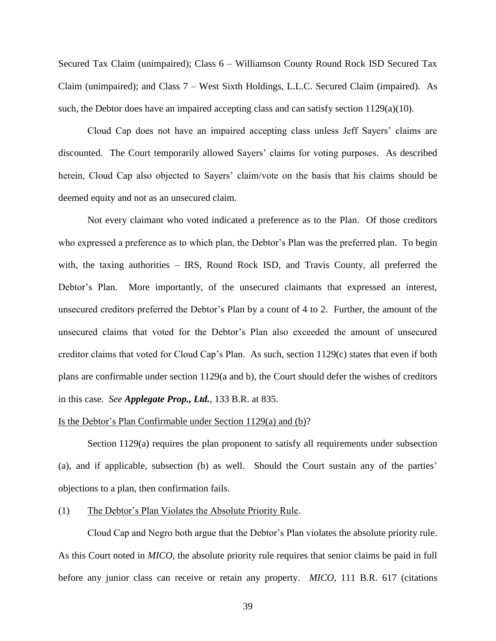Secured Tax Claim (unimpaired); Class 6 – Williamson County Round Rock ISD Secured Tax Claim (unimpaired); and Class 7 – West Sixth Holdings, L.L.C. Secured Claim (impaired). As such, the Debtor does have an impaired accepting class and can satisfy section  $1129(a)(10)$ .

Cloud Cap does not have an impaired accepting class unless Jeff Sayers' claims are discounted. The Court temporarily allowed Sayers' claims for voting purposes. As described herein, Cloud Cap also objected to Sayers' claim/vote on the basis that his claims should be deemed equity and not as an unsecured claim.

Not every claimant who voted indicated a preference as to the Plan. Of those creditors who expressed a preference as to which plan, the Debtor's Plan was the preferred plan. To begin with, the taxing authorities – IRS, Round Rock ISD, and Travis County, all preferred the Debtor's Plan. More importantly, of the unsecured claimants that expressed an interest, unsecured creditors preferred the Debtor's Plan by a count of 4 to 2. Further, the amount of the unsecured claims that voted for the Debtor's Plan also exceeded the amount of unsecured creditor claims that voted for Cloud Cap's Plan. As such, section 1129(c) states that even if both plans are confirmable under section 1129(a and b), the Court should defer the wishes of creditors in this case. *See Applegate Prop., Ltd.*, 133 B.R. at 835.

#### Is the Debtor's Plan Confirmable under Section 1129(a) and (b)?

Section 1129(a) requires the plan proponent to satisfy all requirements under subsection (a), and if applicable, subsection (b) as well. Should the Court sustain any of the parties' objections to a plan, then confirmation fails.

### (1) The Debtor's Plan Violates the Absolute Priority Rule.

Cloud Cap and Negro both argue that the Debtor's Plan violates the absolute priority rule. As this Court noted in *MICO*, the absolute priority rule requires that senior claims be paid in full before any junior class can receive or retain any property. *MICO*, 111 B.R. 617 (citations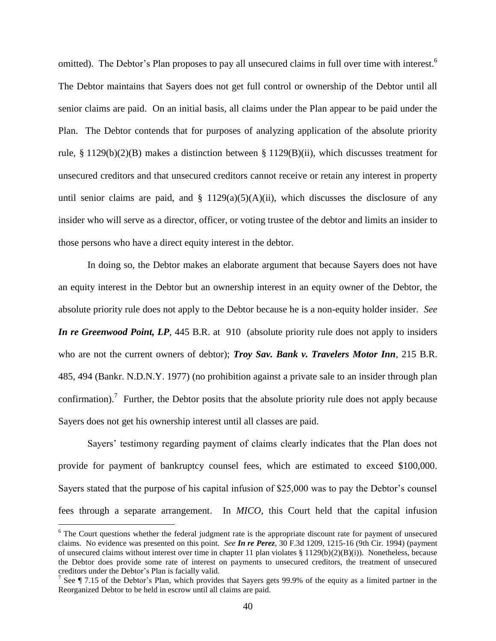omitted). The Debtor's Plan proposes to pay all unsecured claims in full over time with interest.<sup>6</sup> The Debtor maintains that Sayers does not get full control or ownership of the Debtor until all senior claims are paid. On an initial basis, all claims under the Plan appear to be paid under the Plan. The Debtor contends that for purposes of analyzing application of the absolute priority rule, § 1129(b)(2)(B) makes a distinction between § 1129(B)(ii), which discusses treatment for unsecured creditors and that unsecured creditors cannot receive or retain any interest in property until senior claims are paid, and  $\S$  1129(a)(5)(A)(ii), which discusses the disclosure of any insider who will serve as a director, officer, or voting trustee of the debtor and limits an insider to those persons who have a direct equity interest in the debtor.

In doing so, the Debtor makes an elaborate argument that because Sayers does not have an equity interest in the Debtor but an ownership interest in an equity owner of the Debtor, the absolute priority rule does not apply to the Debtor because he is a non-equity holder insider. *See In re Greenwood Point, LP*, 445 B.R. at 910 (absolute priority rule does not apply to insiders who are not the current owners of debtor); *Troy Sav. Bank v. Travelers Motor Inn*, 215 B.R. 485, 494 (Bankr. N.D.N.Y. 1977) (no prohibition against a private sale to an insider through plan confirmation).<sup>7</sup> Further, the Debtor posits that the absolute priority rule does not apply because Sayers does not get his ownership interest until all classes are paid.

Sayers' testimony regarding payment of claims clearly indicates that the Plan does not provide for payment of bankruptcy counsel fees, which are estimated to exceed \$100,000. Sayers stated that the purpose of his capital infusion of \$25,000 was to pay the Debtor's counsel fees through a separate arrangement. In *MICO*, this Court held that the capital infusion

 $\overline{a}$ 

<sup>&</sup>lt;sup>6</sup> The Court questions whether the federal judgment rate is the appropriate discount rate for payment of unsecured claims. No evidence was presented on this point. *See In re Perez*, 30 F.3d 1209, 1215-16 (9th Cir. 1994) (payment of unsecured claims without interest over time in chapter 11 plan violates § 1129(b)(2)(B)(i)). Nonetheless, because the Debtor does provide some rate of interest on payments to unsecured creditors, the treatment of unsecured creditors under the Debtor's Plan is facially valid.

<sup>&</sup>lt;sup>7</sup> See  $\P$  7.15 of the Debtor's Plan, which provides that Sayers gets 99.9% of the equity as a limited partner in the Reorganized Debtor to be held in escrow until all claims are paid.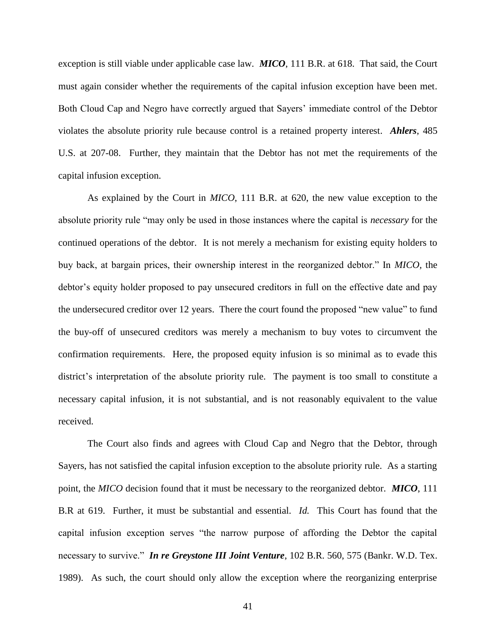exception is still viable under applicable case law. *MICO*, 111 B.R. at 618.That said, the Court must again consider whether the requirements of the capital infusion exception have been met. Both Cloud Cap and Negro have correctly argued that Sayers' immediate control of the Debtor violates the absolute priority rule because control is a retained property interest. *Ahlers*, 485 U.S. at 207-08. Further, they maintain that the Debtor has not met the requirements of the capital infusion exception.

As explained by the Court in *MICO*, 111 B.R. at 620, the new value exception to the absolute priority rule "may only be used in those instances where the capital is *necessary* for the continued operations of the debtor. It is not merely a mechanism for existing equity holders to buy back, at bargain prices, their ownership interest in the reorganized debtor." In *MICO,* the debtor's equity holder proposed to pay unsecured creditors in full on the effective date and pay the undersecured creditor over 12 years. There the court found the proposed "new value" to fund the buy-off of unsecured creditors was merely a mechanism to buy votes to circumvent the confirmation requirements. Here, the proposed equity infusion is so minimal as to evade this district's interpretation of the absolute priority rule. The payment is too small to constitute a necessary capital infusion, it is not substantial, and is not reasonably equivalent to the value received.

The Court also finds and agrees with Cloud Cap and Negro that the Debtor, through Sayers, has not satisfied the capital infusion exception to the absolute priority rule. As a starting point, the *MICO* decision found that it must be necessary to the reorganized debtor. *MICO*, 111 B.R at 619. Further, it must be substantial and essential. *Id.* This Court has found that the capital infusion exception serves "the narrow purpose of affording the Debtor the capital necessary to survive." *In re Greystone III Joint Venture*, 102 B.R. 560, 575 (Bankr. W.D. Tex. 1989). As such, the court should only allow the exception where the reorganizing enterprise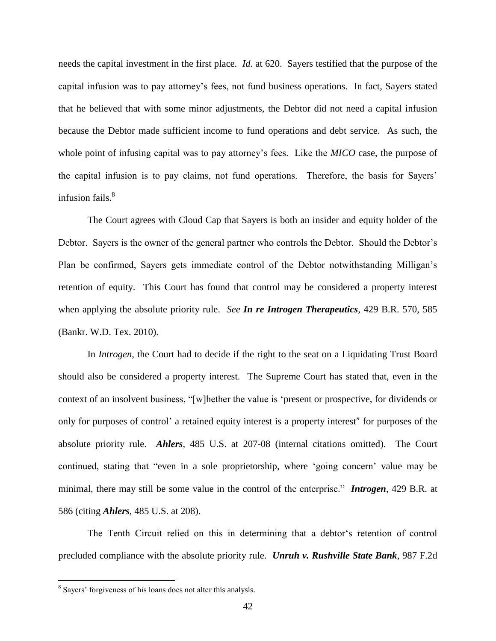needs the capital investment in the first place. *Id.* at 620. Sayers testified that the purpose of the capital infusion was to pay attorney's fees, not fund business operations. In fact, Sayers stated that he believed that with some minor adjustments, the Debtor did not need a capital infusion because the Debtor made sufficient income to fund operations and debt service. As such, the whole point of infusing capital was to pay attorney's fees. Like the *MICO* case, the purpose of the capital infusion is to pay claims, not fund operations. Therefore, the basis for Sayers' infusion fails.<sup>8</sup>

The Court agrees with Cloud Cap that Sayers is both an insider and equity holder of the Debtor. Sayers is the owner of the general partner who controls the Debtor. Should the Debtor's Plan be confirmed, Sayers gets immediate control of the Debtor notwithstanding Milligan's retention of equity. This Court has found that control may be considered a property interest when applying the absolute priority rule. *See In re Introgen Therapeutics*, 429 B.R. 570, 585 (Bankr. W.D. Tex. 2010).

In *Introgen*, the Court had to decide if the right to the seat on a Liquidating Trust Board should also be considered a property interest. The Supreme Court has stated that, even in the context of an insolvent business, "[w]hether the value is 'present or prospective, for dividends or only for purposes of control' a retained equity interest is a property interest" for purposes of the absolute priority rule. *Ahlers*, 485 U.S. at 207-08 (internal citations omitted). The Court continued, stating that "even in a sole proprietorship, where 'going concern' value may be minimal, there may still be some value in the control of the enterprise." *Introgen*, 429 B.R. at 586 (citing *Ahlers*, 485 U.S. at 208).

The Tenth Circuit relied on this in determining that a debtor's retention of control precluded compliance with the absolute priority rule. *Unruh v. Rushville State Bank*, 987 F.2d

 $\overline{a}$ 

<sup>&</sup>lt;sup>8</sup> Sayers' forgiveness of his loans does not alter this analysis.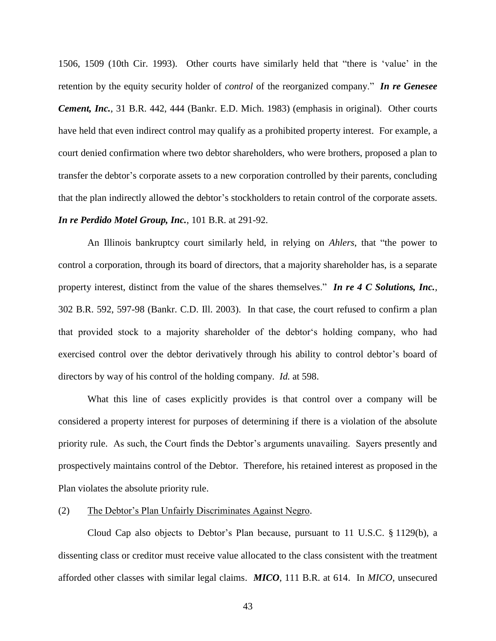1506, 1509 (10th Cir. 1993). Other courts have similarly held that "there is 'value' in the retention by the equity security holder of *control* of the reorganized company." *In re Genesee Cement, Inc.*, 31 B.R. 442, 444 (Bankr. E.D. Mich. 1983) (emphasis in original). Other courts have held that even indirect control may qualify as a prohibited property interest. For example, a court denied confirmation where two debtor shareholders, who were brothers, proposed a plan to transfer the debtor's corporate assets to a new corporation controlled by their parents, concluding that the plan indirectly allowed the debtor's stockholders to retain control of the corporate assets. *In re Perdido Motel Group, Inc.*, 101 B.R. at 291-92.

An Illinois bankruptcy court similarly held, in relying on *Ahlers*, that "the power to control a corporation, through its board of directors, that a majority shareholder has, is a separate property interest, distinct from the value of the shares themselves." *In re 4 C Solutions, Inc.*, 302 B.R. 592, 597-98 (Bankr. C.D. Ill. 2003). In that case, the court refused to confirm a plan that provided stock to a majority shareholder of the debtor's holding company, who had exercised control over the debtor derivatively through his ability to control debtor's board of directors by way of his control of the holding company. *Id.* at 598.

What this line of cases explicitly provides is that control over a company will be considered a property interest for purposes of determining if there is a violation of the absolute priority rule. As such, the Court finds the Debtor's arguments unavailing. Sayers presently and prospectively maintains control of the Debtor. Therefore, his retained interest as proposed in the Plan violates the absolute priority rule.

### (2) The Debtor's Plan Unfairly Discriminates Against Negro.

Cloud Cap also objects to Debtor's Plan because, pursuant to 11 U.S.C. § 1129(b), a dissenting class or creditor must receive value allocated to the class consistent with the treatment afforded other classes with similar legal claims. *MICO*, 111 B.R. at 614. In *MICO*, unsecured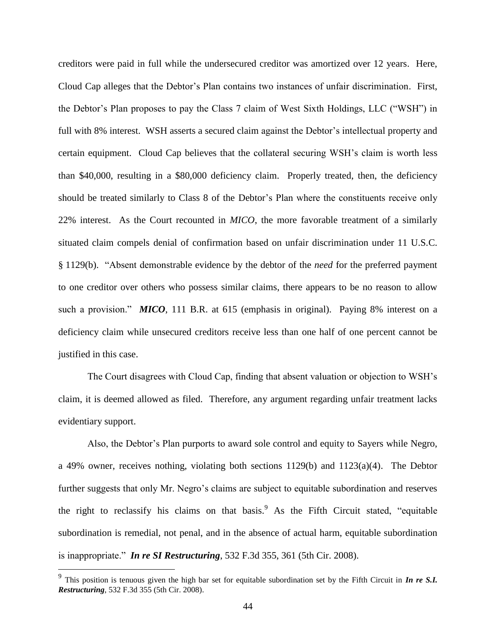creditors were paid in full while the undersecured creditor was amortized over 12 years. Here, Cloud Cap alleges that the Debtor's Plan contains two instances of unfair discrimination. First, the Debtor's Plan proposes to pay the Class 7 claim of West Sixth Holdings, LLC ("WSH") in full with 8% interest. WSH asserts a secured claim against the Debtor's intellectual property and certain equipment. Cloud Cap believes that the collateral securing WSH's claim is worth less than \$40,000, resulting in a \$80,000 deficiency claim. Properly treated, then, the deficiency should be treated similarly to Class 8 of the Debtor's Plan where the constituents receive only 22% interest. As the Court recounted in *MICO*, the more favorable treatment of a similarly situated claim compels denial of confirmation based on unfair discrimination under 11 U.S.C. § 1129(b). "Absent demonstrable evidence by the debtor of the *need* for the preferred payment to one creditor over others who possess similar claims, there appears to be no reason to allow such a provision." **MICO**, 111 B.R. at 615 (emphasis in original). Paying 8% interest on a deficiency claim while unsecured creditors receive less than one half of one percent cannot be justified in this case.

The Court disagrees with Cloud Cap, finding that absent valuation or objection to WSH's claim, it is deemed allowed as filed. Therefore, any argument regarding unfair treatment lacks evidentiary support.

Also, the Debtor's Plan purports to award sole control and equity to Sayers while Negro, a 49% owner, receives nothing, violating both sections 1129(b) and 1123(a)(4). The Debtor further suggests that only Mr. Negro's claims are subject to equitable subordination and reserves the right to reclassify his claims on that basis.<sup>9</sup> As the Fifth Circuit stated, "equitable subordination is remedial, not penal, and in the absence of actual harm, equitable subordination is inappropriate." *In re SI Restructuring*, 532 F.3d 355, 361 (5th Cir. 2008).

 $\overline{a}$ 

<sup>9</sup> This position is tenuous given the high bar set for equitable subordination set by the Fifth Circuit in *In re S.I. Restructuring*, 532 F.3d 355 (5th Cir. 2008).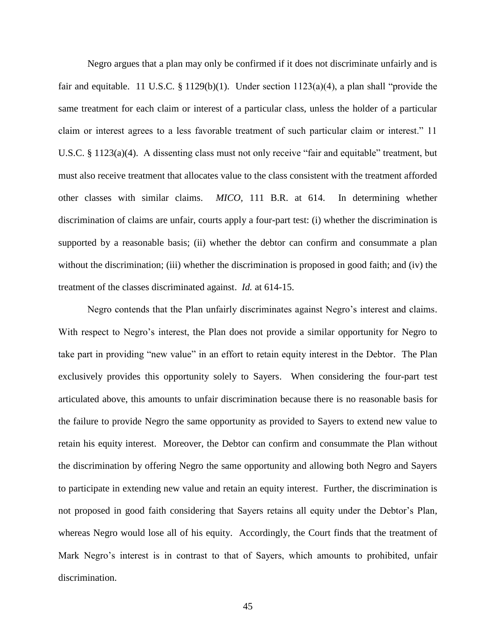Negro argues that a plan may only be confirmed if it does not discriminate unfairly and is fair and equitable. 11 U.S.C. § 1129(b)(1). Under section 1123(a)(4), a plan shall "provide the same treatment for each claim or interest of a particular class, unless the holder of a particular claim or interest agrees to a less favorable treatment of such particular claim or interest." 11 U.S.C. § 1123(a)(4). A dissenting class must not only receive "fair and equitable" treatment, but must also receive treatment that allocates value to the class consistent with the treatment afforded other classes with similar claims. *MICO,* 111 B.R. at 614. In determining whether discrimination of claims are unfair, courts apply a four-part test: (i) whether the discrimination is supported by a reasonable basis; (ii) whether the debtor can confirm and consummate a plan without the discrimination; (iii) whether the discrimination is proposed in good faith; and (iv) the treatment of the classes discriminated against. *Id.* at 614-15.

Negro contends that the Plan unfairly discriminates against Negro's interest and claims. With respect to Negro's interest, the Plan does not provide a similar opportunity for Negro to take part in providing "new value" in an effort to retain equity interest in the Debtor. The Plan exclusively provides this opportunity solely to Sayers. When considering the four-part test articulated above, this amounts to unfair discrimination because there is no reasonable basis for the failure to provide Negro the same opportunity as provided to Sayers to extend new value to retain his equity interest. Moreover, the Debtor can confirm and consummate the Plan without the discrimination by offering Negro the same opportunity and allowing both Negro and Sayers to participate in extending new value and retain an equity interest. Further, the discrimination is not proposed in good faith considering that Sayers retains all equity under the Debtor's Plan, whereas Negro would lose all of his equity. Accordingly, the Court finds that the treatment of Mark Negro's interest is in contrast to that of Sayers, which amounts to prohibited, unfair discrimination.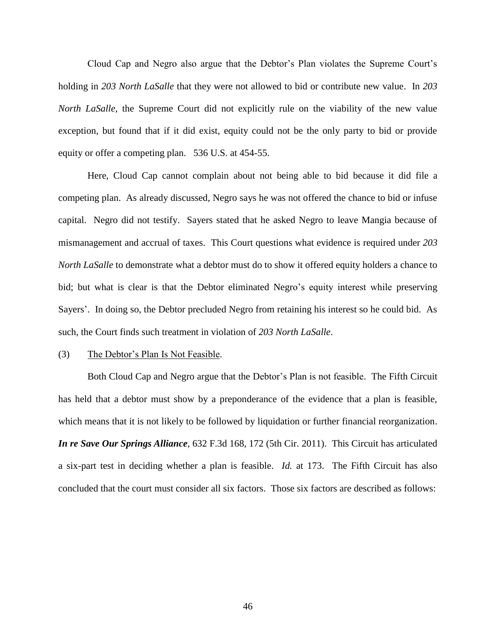Cloud Cap and Negro also argue that the Debtor's Plan violates the Supreme Court's holding in *203 North LaSalle* that they were not allowed to bid or contribute new value. In *203 North LaSalle*, the Supreme Court did not explicitly rule on the viability of the new value exception, but found that if it did exist, equity could not be the only party to bid or provide equity or offer a competing plan. 536 U.S. at 454-55.

Here, Cloud Cap cannot complain about not being able to bid because it did file a competing plan. As already discussed, Negro says he was not offered the chance to bid or infuse capital. Negro did not testify. Sayers stated that he asked Negro to leave Mangia because of mismanagement and accrual of taxes. This Court questions what evidence is required under *203 North LaSalle* to demonstrate what a debtor must do to show it offered equity holders a chance to bid; but what is clear is that the Debtor eliminated Negro's equity interest while preserving Sayers'. In doing so, the Debtor precluded Negro from retaining his interest so he could bid. As such, the Court finds such treatment in violation of *203 North LaSalle*.

### (3) The Debtor's Plan Is Not Feasible.

Both Cloud Cap and Negro argue that the Debtor's Plan is not feasible. The Fifth Circuit has held that a debtor must show by a preponderance of the evidence that a plan is feasible, which means that it is not likely to be followed by liquidation or further financial reorganization. *In re Save Our Springs Alliance*, 632 F.3d 168, 172 (5th Cir. 2011). This Circuit has articulated a six-part test in deciding whether a plan is feasible. *Id.* at 173. The Fifth Circuit has also concluded that the court must consider all six factors. Those six factors are described as follows: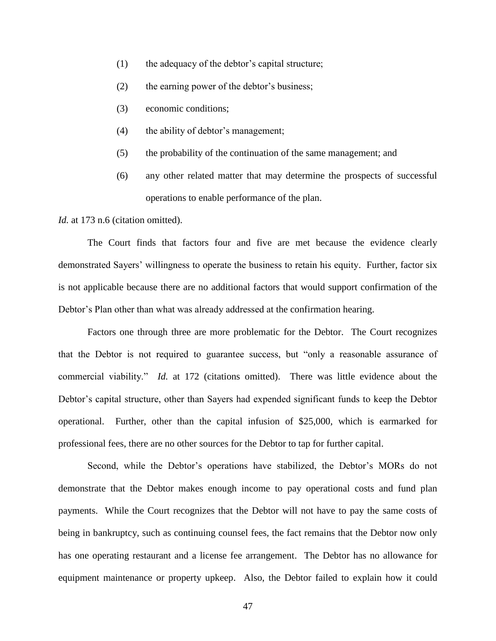- (1) the adequacy of the debtor's capital structure;
- (2) the earning power of the debtor's business;
- (3) economic conditions;
- (4) the ability of debtor's management;
- (5) the probability of the continuation of the same management; and
- (6) any other related matter that may determine the prospects of successful operations to enable performance of the plan.

*Id.* at 173 n.6 (citation omitted).

The Court finds that factors four and five are met because the evidence clearly demonstrated Sayers' willingness to operate the business to retain his equity. Further, factor six is not applicable because there are no additional factors that would support confirmation of the Debtor's Plan other than what was already addressed at the confirmation hearing.

Factors one through three are more problematic for the Debtor. The Court recognizes that the Debtor is not required to guarantee success, but "only a reasonable assurance of commercial viability." *Id.* at 172 (citations omitted). There was little evidence about the Debtor's capital structure, other than Sayers had expended significant funds to keep the Debtor operational. Further, other than the capital infusion of \$25,000, which is earmarked for professional fees, there are no other sources for the Debtor to tap for further capital.

Second, while the Debtor's operations have stabilized, the Debtor's MORs do not demonstrate that the Debtor makes enough income to pay operational costs and fund plan payments. While the Court recognizes that the Debtor will not have to pay the same costs of being in bankruptcy, such as continuing counsel fees, the fact remains that the Debtor now only has one operating restaurant and a license fee arrangement. The Debtor has no allowance for equipment maintenance or property upkeep. Also, the Debtor failed to explain how it could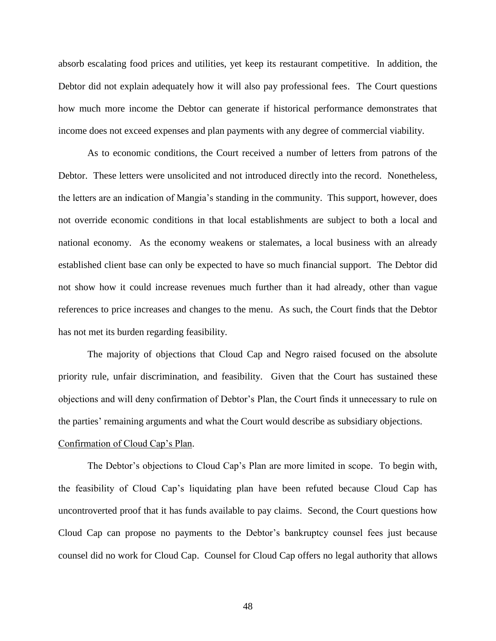absorb escalating food prices and utilities, yet keep its restaurant competitive. In addition, the Debtor did not explain adequately how it will also pay professional fees. The Court questions how much more income the Debtor can generate if historical performance demonstrates that income does not exceed expenses and plan payments with any degree of commercial viability.

As to economic conditions, the Court received a number of letters from patrons of the Debtor. These letters were unsolicited and not introduced directly into the record. Nonetheless, the letters are an indication of Mangia's standing in the community. This support, however, does not override economic conditions in that local establishments are subject to both a local and national economy. As the economy weakens or stalemates, a local business with an already established client base can only be expected to have so much financial support. The Debtor did not show how it could increase revenues much further than it had already, other than vague references to price increases and changes to the menu. As such, the Court finds that the Debtor has not met its burden regarding feasibility.

The majority of objections that Cloud Cap and Negro raised focused on the absolute priority rule, unfair discrimination, and feasibility. Given that the Court has sustained these objections and will deny confirmation of Debtor's Plan, the Court finds it unnecessary to rule on the parties' remaining arguments and what the Court would describe as subsidiary objections.

### Confirmation of Cloud Cap's Plan.

The Debtor's objections to Cloud Cap's Plan are more limited in scope. To begin with, the feasibility of Cloud Cap's liquidating plan have been refuted because Cloud Cap has uncontroverted proof that it has funds available to pay claims. Second, the Court questions how Cloud Cap can propose no payments to the Debtor's bankruptcy counsel fees just because counsel did no work for Cloud Cap. Counsel for Cloud Cap offers no legal authority that allows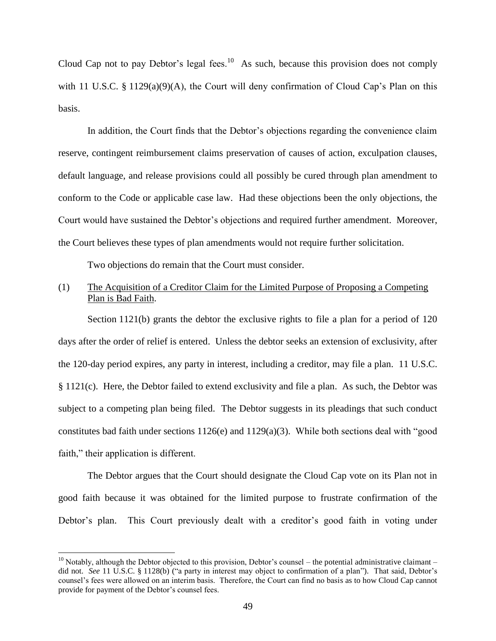Cloud Cap not to pay Debtor's legal fees.<sup>10</sup> As such, because this provision does not comply with 11 U.S.C. § 1129(a)(9)(A), the Court will deny confirmation of Cloud Cap's Plan on this basis.

In addition, the Court finds that the Debtor's objections regarding the convenience claim reserve, contingent reimbursement claims preservation of causes of action, exculpation clauses, default language, and release provisions could all possibly be cured through plan amendment to conform to the Code or applicable case law. Had these objections been the only objections, the Court would have sustained the Debtor's objections and required further amendment. Moreover, the Court believes these types of plan amendments would not require further solicitation.

Two objections do remain that the Court must consider.

# (1) The Acquisition of a Creditor Claim for the Limited Purpose of Proposing a Competing Plan is Bad Faith.

Section 1121(b) grants the debtor the exclusive rights to file a plan for a period of 120 days after the order of relief is entered. Unless the debtor seeks an extension of exclusivity, after the 120-day period expires, any party in interest, including a creditor, may file a plan. 11 U.S.C. § 1121(c). Here, the Debtor failed to extend exclusivity and file a plan. As such, the Debtor was subject to a competing plan being filed. The Debtor suggests in its pleadings that such conduct constitutes bad faith under sections 1126(e) and 1129(a)(3). While both sections deal with "good faith," their application is different.

The Debtor argues that the Court should designate the Cloud Cap vote on its Plan not in good faith because it was obtained for the limited purpose to frustrate confirmation of the Debtor's plan. This Court previously dealt with a creditor's good faith in voting under

 $\overline{a}$ 

 $10$  Notably, although the Debtor objected to this provision, Debtor's counsel – the potential administrative claimant – did not. *See* 11 U.S.C. § 1128(b) ("a party in interest may object to confirmation of a plan"). That said, Debtor's counsel's fees were allowed on an interim basis. Therefore, the Court can find no basis as to how Cloud Cap cannot provide for payment of the Debtor's counsel fees.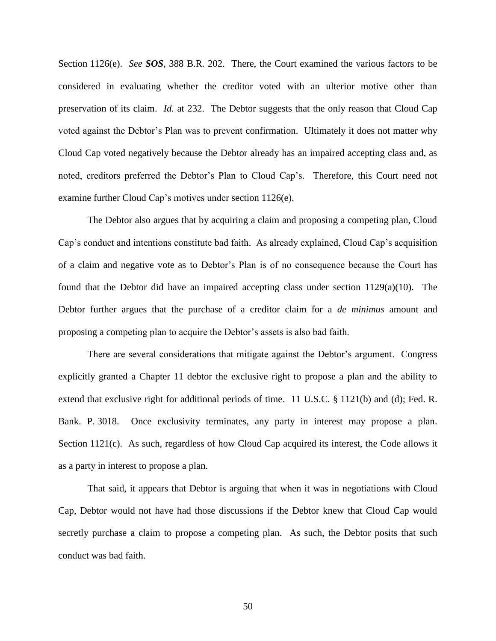Section 1126(e). *See SOS*, 388 B.R. 202. There, the Court examined the various factors to be considered in evaluating whether the creditor voted with an ulterior motive other than preservation of its claim. *Id.* at 232. The Debtor suggests that the only reason that Cloud Cap voted against the Debtor's Plan was to prevent confirmation. Ultimately it does not matter why Cloud Cap voted negatively because the Debtor already has an impaired accepting class and, as noted, creditors preferred the Debtor's Plan to Cloud Cap's. Therefore, this Court need not examine further Cloud Cap's motives under section 1126(e).

The Debtor also argues that by acquiring a claim and proposing a competing plan, Cloud Cap's conduct and intentions constitute bad faith. As already explained, Cloud Cap's acquisition of a claim and negative vote as to Debtor's Plan is of no consequence because the Court has found that the Debtor did have an impaired accepting class under section 1129(a)(10). The Debtor further argues that the purchase of a creditor claim for a *de minimus* amount and proposing a competing plan to acquire the Debtor's assets is also bad faith.

There are several considerations that mitigate against the Debtor's argument. Congress explicitly granted a Chapter 11 debtor the exclusive right to propose a plan and the ability to extend that exclusive right for additional periods of time. 11 U.S.C. § 1121(b) and (d); Fed. R. Bank. P. 3018. Once exclusivity terminates, any party in interest may propose a plan. Section 1121(c). As such, regardless of how Cloud Cap acquired its interest, the Code allows it as a party in interest to propose a plan.

That said, it appears that Debtor is arguing that when it was in negotiations with Cloud Cap, Debtor would not have had those discussions if the Debtor knew that Cloud Cap would secretly purchase a claim to propose a competing plan. As such, the Debtor posits that such conduct was bad faith.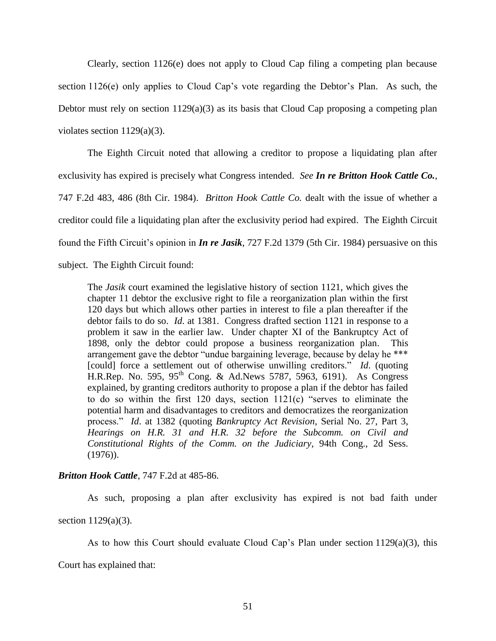Clearly, section 1126(e) does not apply to Cloud Cap filing a competing plan because section 1126(e) only applies to Cloud Cap's vote regarding the Debtor's Plan. As such, the Debtor must rely on section  $1129(a)(3)$  as its basis that Cloud Cap proposing a competing plan violates section 1129(a)(3).

The Eighth Circuit noted that allowing a creditor to propose a liquidating plan after exclusivity has expired is precisely what Congress intended. *See In re Britton Hook Cattle Co.*, 747 F.2d 483, 486 (8th Cir. 1984). *Britton Hook Cattle Co.* dealt with the issue of whether a creditor could file a liquidating plan after the exclusivity period had expired. The Eighth Circuit found the Fifth Circuit's opinion in *In re Jasik*, 727 F.2d 1379 (5th Cir. 1984) persuasive on this subject. The Eighth Circuit found:

The *Jasik* court examined the legislative history of section 1121, which gives the chapter 11 debtor the exclusive right to file a reorganization plan within the first 120 days but which allows other parties in interest to file a plan thereafter if the debtor fails to do so. *Id*. at 1381. Congress drafted section 1121 in response to a problem it saw in the earlier law. Under chapter XI of the Bankruptcy Act of 1898, only the debtor could propose a business reorganization plan. This arrangement gave the debtor "undue bargaining leverage, because by delay he \*\*\* [could] force a settlement out of otherwise unwilling creditors." *Id*. (quoting H.R.Rep. No. 595, 95<sup>th</sup> Cong. & Ad.News 5787, 5963, 6191). As Congress explained, by granting creditors authority to propose a plan if the debtor has failed to do so within the first 120 days, section 1121(c) "serves to eliminate the potential harm and disadvantages to creditors and democratizes the reorganization process." *Id*. at 1382 (quoting *Bankruptcy Act Revision*, Serial No. 27, Part 3, *Hearings on H.R. 31 and H.R. 32 before the Subcomm. on Civil and Constitutional Rights of the Comm. on the Judiciary*, 94th Cong., 2d Sess.  $(1976)$ .

# *Britton Hook Cattle*, 747 F.2d at 485-86.

As such, proposing a plan after exclusivity has expired is not bad faith under section 1129(a)(3).

As to how this Court should evaluate Cloud Cap's Plan under section 1129(a)(3), this Court has explained that: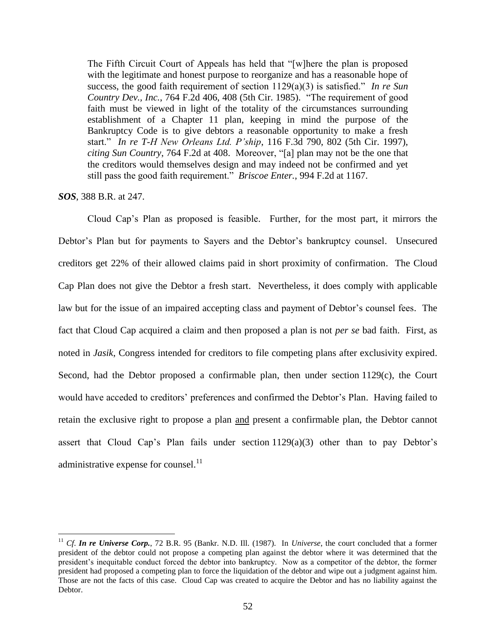The Fifth Circuit Court of Appeals has held that "[w]here the plan is proposed with the legitimate and honest purpose to reorganize and has a reasonable hope of success, the good faith requirement of section 1129(a)(3) is satisfied." *In re Sun Country Dev., Inc.*, 764 F.2d 406, 408 (5th Cir. 1985). "The requirement of good faith must be viewed in light of the totality of the circumstances surrounding establishment of a Chapter 11 plan, keeping in mind the purpose of the Bankruptcy Code is to give debtors a reasonable opportunity to make a fresh start." *In re T-H New Orleans Ltd. P'ship*, 116 F.3d 790, 802 (5th Cir. 1997), *citing Sun Country*, 764 F.2d at 408. Moreover, "[a] plan may not be the one that the creditors would themselves design and may indeed not be confirmed and yet still pass the good faith requirement." *Briscoe Enter.*, 994 F.2d at 1167.

## *SOS*, 388 B.R. at 247.

 $\overline{a}$ 

Cloud Cap's Plan as proposed is feasible. Further, for the most part, it mirrors the Debtor's Plan but for payments to Sayers and the Debtor's bankruptcy counsel. Unsecured creditors get 22% of their allowed claims paid in short proximity of confirmation. The Cloud Cap Plan does not give the Debtor a fresh start. Nevertheless, it does comply with applicable law but for the issue of an impaired accepting class and payment of Debtor's counsel fees. The fact that Cloud Cap acquired a claim and then proposed a plan is not *per se* bad faith. First, as noted in *Jasik*, Congress intended for creditors to file competing plans after exclusivity expired. Second, had the Debtor proposed a confirmable plan, then under section  $1129(c)$ , the Court would have acceded to creditors' preferences and confirmed the Debtor's Plan. Having failed to retain the exclusive right to propose a plan and present a confirmable plan, the Debtor cannot assert that Cloud Cap's Plan fails under section 1129(a)(3) other than to pay Debtor's administrative expense for counsel.<sup>11</sup>

<sup>11</sup> *Cf*. *In re Universe Corp.*, 72 B.R. 95 (Bankr. N.D. Ill. (1987). In *Universe*, the court concluded that a former president of the debtor could not propose a competing plan against the debtor where it was determined that the president's inequitable conduct forced the debtor into bankruptcy. Now as a competitor of the debtor, the former president had proposed a competing plan to force the liquidation of the debtor and wipe out a judgment against him. Those are not the facts of this case. Cloud Cap was created to acquire the Debtor and has no liability against the Debtor.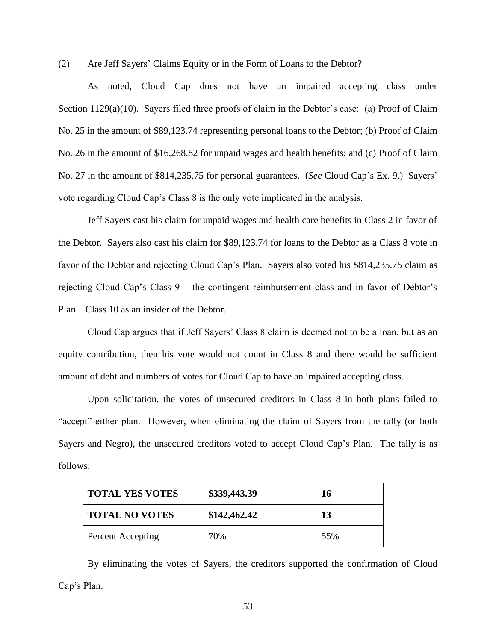### (2) Are Jeff Sayers' Claims Equity or in the Form of Loans to the Debtor?

As noted, Cloud Cap does not have an impaired accepting class under Section 1129(a)(10). Sayers filed three proofs of claim in the Debtor's case: (a) Proof of Claim No. 25 in the amount of \$89,123.74 representing personal loans to the Debtor; (b) Proof of Claim No. 26 in the amount of \$16,268.82 for unpaid wages and health benefits; and (c) Proof of Claim No. 27 in the amount of \$814,235.75 for personal guarantees. (*See* Cloud Cap's Ex. 9.) Sayers' vote regarding Cloud Cap's Class 8 is the only vote implicated in the analysis.

Jeff Sayers cast his claim for unpaid wages and health care benefits in Class 2 in favor of the Debtor. Sayers also cast his claim for \$89,123.74 for loans to the Debtor as a Class 8 vote in favor of the Debtor and rejecting Cloud Cap's Plan. Sayers also voted his \$814,235.75 claim as rejecting Cloud Cap's Class 9 – the contingent reimbursement class and in favor of Debtor's Plan – Class 10 as an insider of the Debtor.

Cloud Cap argues that if Jeff Sayers' Class 8 claim is deemed not to be a loan, but as an equity contribution, then his vote would not count in Class 8 and there would be sufficient amount of debt and numbers of votes for Cloud Cap to have an impaired accepting class.

Upon solicitation, the votes of unsecured creditors in Class 8 in both plans failed to "accept" either plan. However, when eliminating the claim of Sayers from the tally (or both Sayers and Negro), the unsecured creditors voted to accept Cloud Cap's Plan. The tally is as follows:

| <b>TOTAL YES VOTES</b> | \$339,443.39 | 16  |
|------------------------|--------------|-----|
| <b>TOTAL NO VOTES</b>  | \$142,462.42 | 13  |
| Percent Accepting      | 70%          | 55% |

By eliminating the votes of Sayers, the creditors supported the confirmation of Cloud Cap's Plan.

53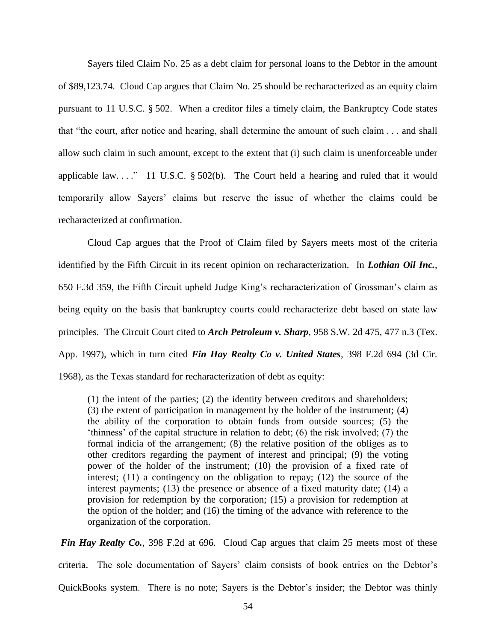Sayers filed Claim No. 25 as a debt claim for personal loans to the Debtor in the amount of \$89,123.74. Cloud Cap argues that Claim No. 25 should be recharacterized as an equity claim pursuant to 11 U.S.C. § 502. When a creditor files a timely claim, the Bankruptcy Code states that "the court, after notice and hearing, shall determine the amount of such claim . . . and shall allow such claim in such amount, except to the extent that (i) such claim is unenforceable under applicable law...." 11 U.S.C.  $\S$  502(b). The Court held a hearing and ruled that it would temporarily allow Sayers' claims but reserve the issue of whether the claims could be recharacterized at confirmation.

Cloud Cap argues that the Proof of Claim filed by Sayers meets most of the criteria identified by the Fifth Circuit in its recent opinion on recharacterization. In *Lothian Oil Inc.*, 650 F.3d 359, the Fifth Circuit upheld Judge King's recharacterization of Grossman's claim as being equity on the basis that bankruptcy courts could recharacterize debt based on state law principles. The Circuit Court cited to *Arch Petroleum v. Sharp*, 958 S.W. 2d 475, 477 n.3 (Tex. App. 1997), which in turn cited *Fin Hay Realty Co v. United States,* 398 F.2d 694 (3d Cir. 1968), as the Texas standard for recharacterization of debt as equity:

(1) the intent of the parties; (2) the identity between creditors and shareholders; (3) the extent of participation in management by the holder of the instrument; (4) the ability of the corporation to obtain funds from outside sources; (5) the 'thinness' of the capital structure in relation to debt; (6) the risk involved; (7) the formal indicia of the arrangement; (8) the relative position of the obliges as to other creditors regarding the payment of interest and principal; (9) the voting power of the holder of the instrument; (10) the provision of a fixed rate of interest; (11) a contingency on the obligation to repay; (12) the source of the interest payments; (13) the presence or absence of a fixed maturity date; (14) a provision for redemption by the corporation; (15) a provision for redemption at the option of the holder; and (16) the timing of the advance with reference to the organization of the corporation.

*Fin Hay Realty Co.*, 398 F.2d at 696. Cloud Cap argues that claim 25 meets most of these criteria. The sole documentation of Sayers' claim consists of book entries on the Debtor's QuickBooks system. There is no note; Sayers is the Debtor's insider; the Debtor was thinly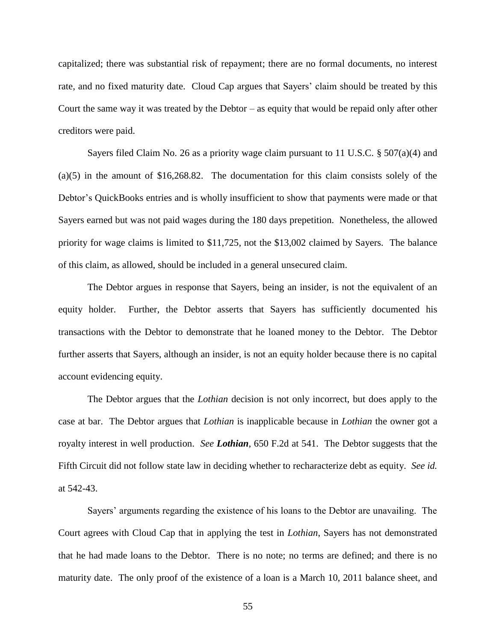capitalized; there was substantial risk of repayment; there are no formal documents, no interest rate, and no fixed maturity date. Cloud Cap argues that Sayers' claim should be treated by this Court the same way it was treated by the Debtor – as equity that would be repaid only after other creditors were paid.

Sayers filed Claim No. 26 as a priority wage claim pursuant to 11 U.S.C. § 507(a)(4) and (a)(5) in the amount of \$16,268.82. The documentation for this claim consists solely of the Debtor's QuickBooks entries and is wholly insufficient to show that payments were made or that Sayers earned but was not paid wages during the 180 days prepetition. Nonetheless, the allowed priority for wage claims is limited to \$11,725, not the \$13,002 claimed by Sayers. The balance of this claim, as allowed, should be included in a general unsecured claim.

The Debtor argues in response that Sayers, being an insider, is not the equivalent of an equity holder. Further, the Debtor asserts that Sayers has sufficiently documented his transactions with the Debtor to demonstrate that he loaned money to the Debtor. The Debtor further asserts that Sayers, although an insider, is not an equity holder because there is no capital account evidencing equity.

The Debtor argues that the *Lothian* decision is not only incorrect, but does apply to the case at bar. The Debtor argues that *Lothian* is inapplicable because in *Lothian* the owner got a royalty interest in well production. *See Lothian*, 650 F.2d at 541. The Debtor suggests that the Fifth Circuit did not follow state law in deciding whether to recharacterize debt as equity. *See id.* at 542-43.

Sayers' arguments regarding the existence of his loans to the Debtor are unavailing. The Court agrees with Cloud Cap that in applying the test in *Lothian*, Sayers has not demonstrated that he had made loans to the Debtor. There is no note; no terms are defined; and there is no maturity date. The only proof of the existence of a loan is a March 10, 2011 balance sheet, and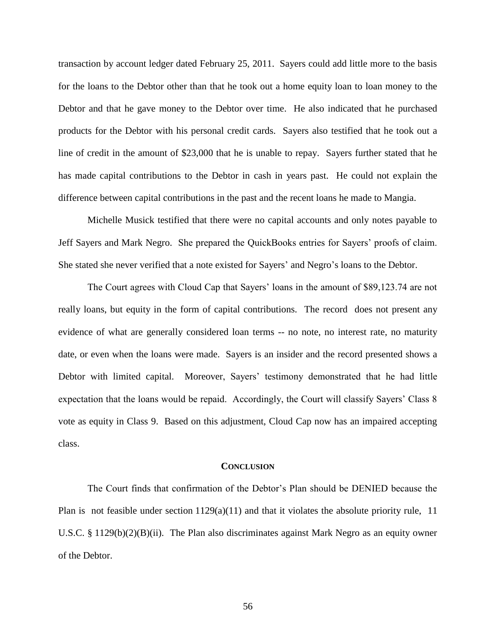transaction by account ledger dated February 25, 2011. Sayers could add little more to the basis for the loans to the Debtor other than that he took out a home equity loan to loan money to the Debtor and that he gave money to the Debtor over time. He also indicated that he purchased products for the Debtor with his personal credit cards. Sayers also testified that he took out a line of credit in the amount of \$23,000 that he is unable to repay. Sayers further stated that he has made capital contributions to the Debtor in cash in years past. He could not explain the difference between capital contributions in the past and the recent loans he made to Mangia.

Michelle Musick testified that there were no capital accounts and only notes payable to Jeff Sayers and Mark Negro. She prepared the QuickBooks entries for Sayers' proofs of claim. She stated she never verified that a note existed for Sayers' and Negro's loans to the Debtor.

The Court agrees with Cloud Cap that Sayers' loans in the amount of \$89,123.74 are not really loans, but equity in the form of capital contributions. The record does not present any evidence of what are generally considered loan terms -- no note, no interest rate, no maturity date, or even when the loans were made. Sayers is an insider and the record presented shows a Debtor with limited capital. Moreover, Sayers' testimony demonstrated that he had little expectation that the loans would be repaid. Accordingly, the Court will classify Sayers' Class 8 vote as equity in Class 9. Based on this adjustment, Cloud Cap now has an impaired accepting class.

#### **CONCLUSION**

The Court finds that confirmation of the Debtor's Plan should be DENIED because the Plan is not feasible under section  $1129(a)(11)$  and that it violates the absolute priority rule, 11 U.S.C. § 1129 $(b)(2)(B)(ii)$ . The Plan also discriminates against Mark Negro as an equity owner of the Debtor.